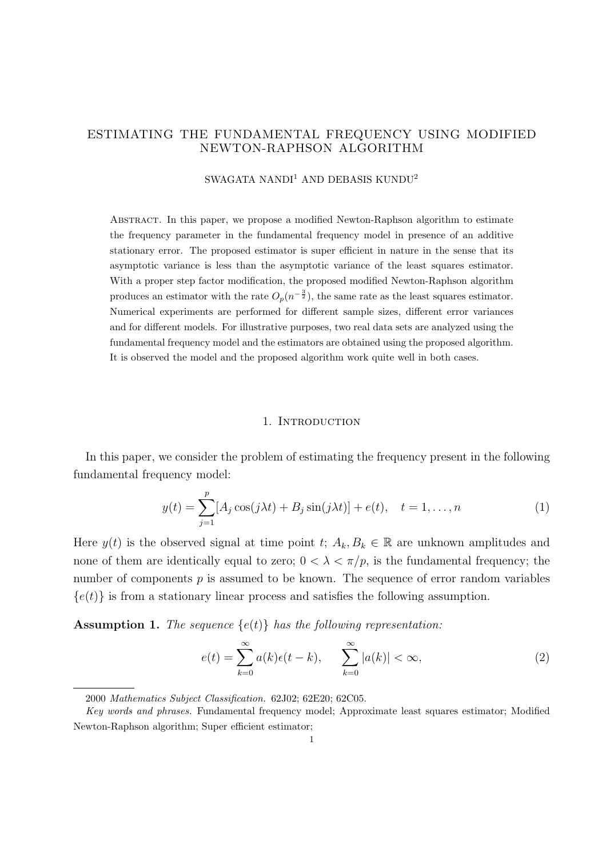# ESTIMATING THE FUNDAMENTAL FREQUENCY USING MODIFIED NEWTON-RAPHSON ALGORITHM

# SWAGATA NANDI<sup>1</sup> AND DEBASIS KUNDU<sup>2</sup>

Abstract. In this paper, we propose a modified Newton-Raphson algorithm to estimate the frequency parameter in the fundamental frequency model in presence of an additive stationary error. The proposed estimator is super efficient in nature in the sense that its asymptotic variance is less than the asymptotic variance of the least squares estimator. With a proper step factor modification, the proposed modified Newton-Raphson algorithm produces an estimator with the rate  $O_p(n^{-\frac{3}{2}})$ , the same rate as the least squares estimator. Numerical experiments are performed for different sample sizes, different error variances and for different models. For illustrative purposes, two real data sets are analyzed using the fundamental frequency model and the estimators are obtained using the proposed algorithm. It is observed the model and the proposed algorithm work quite well in both cases.

#### 1. INTRODUCTION

In this paper, we consider the problem of estimating the frequency present in the following fundamental frequency model:

$$
y(t) = \sum_{j=1}^{p} [A_j \cos(j\lambda t) + B_j \sin(j\lambda t)] + e(t), \quad t = 1, ..., n
$$
 (1)

Here  $y(t)$  is the observed signal at time point  $t; A_k, B_k \in \mathbb{R}$  are unknown amplitudes and none of them are identically equal to zero;  $0 < \lambda < \pi/p$ , is the fundamental frequency; the number of components  $p$  is assumed to be known. The sequence of error random variables  ${e(t)}$  is from a stationary linear process and satisfies the following assumption.

**Assumption 1.** The sequence  $\{e(t)\}\$  has the following representation:

$$
e(t) = \sum_{k=0}^{\infty} a(k)\epsilon(t-k), \qquad \sum_{k=0}^{\infty} |a(k)| < \infty,
$$
 (2)

<sup>2000</sup> Mathematics Subject Classification. 62J02; 62E20; 62C05.

Key words and phrases. Fundamental frequency model; Approximate least squares estimator; Modified Newton-Raphson algorithm; Super efficient estimator;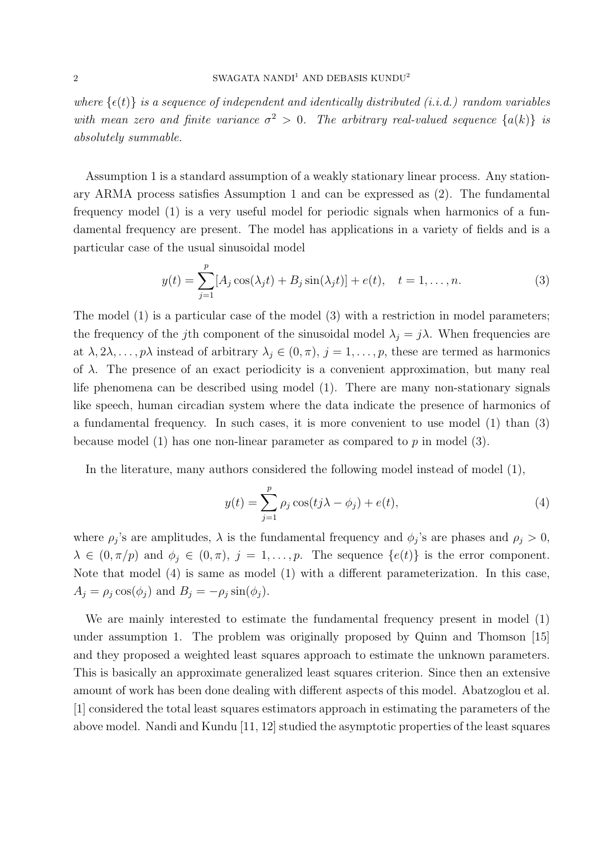where  $\{\epsilon(t)\}\$ is a sequence of independent and identically distributed (i.i.d.) random variables with mean zero and finite variance  $\sigma^2 > 0$ . The arbitrary real-valued sequence  $\{a(k)\}\;$  is absolutely summable.

Assumption 1 is a standard assumption of a weakly stationary linear process. Any stationary ARMA process satisfies Assumption 1 and can be expressed as (2). The fundamental frequency model (1) is a very useful model for periodic signals when harmonics of a fundamental frequency are present. The model has applications in a variety of fields and is a particular case of the usual sinusoidal model

$$
y(t) = \sum_{j=1}^{p} [A_j \cos(\lambda_j t) + B_j \sin(\lambda_j t)] + e(t), \quad t = 1, ..., n.
$$
 (3)

The model (1) is a particular case of the model (3) with a restriction in model parameters; the frequency of the jth component of the sinusoidal model  $\lambda_i = j\lambda$ . When frequencies are at  $\lambda, 2\lambda, \ldots, p\lambda$  instead of arbitrary  $\lambda_j \in (0, \pi), j = 1, \ldots, p$ , these are termed as harmonics of  $\lambda$ . The presence of an exact periodicity is a convenient approximation, but many real life phenomena can be described using model (1). There are many non-stationary signals like speech, human circadian system where the data indicate the presence of harmonics of a fundamental frequency. In such cases, it is more convenient to use model (1) than (3) because model (1) has one non-linear parameter as compared to  $p$  in model (3).

In the literature, many authors considered the following model instead of model (1),

$$
y(t) = \sum_{j=1}^{p} \rho_j \cos(tj\lambda - \phi_j) + e(t),
$$
\n(4)

where  $\rho_j$ 's are amplitudes,  $\lambda$  is the fundamental frequency and  $\phi_j$ 's are phases and  $\rho_j > 0$ ,  $\lambda \in (0, \pi/p)$  and  $\phi_j \in (0, \pi)$ ,  $j = 1, \ldots, p$ . The sequence  $\{e(t)\}\$ is the error component. Note that model (4) is same as model (1) with a different parameterization. In this case,  $A_j = \rho_j \cos(\phi_j)$  and  $B_j = -\rho_j \sin(\phi_j)$ .

We are mainly interested to estimate the fundamental frequency present in model (1) under assumption 1. The problem was originally proposed by Quinn and Thomson [15] and they proposed a weighted least squares approach to estimate the unknown parameters. This is basically an approximate generalized least squares criterion. Since then an extensive amount of work has been done dealing with different aspects of this model. Abatzoglou et al. [1] considered the total least squares estimators approach in estimating the parameters of the above model. Nandi and Kundu [11, 12] studied the asymptotic properties of the least squares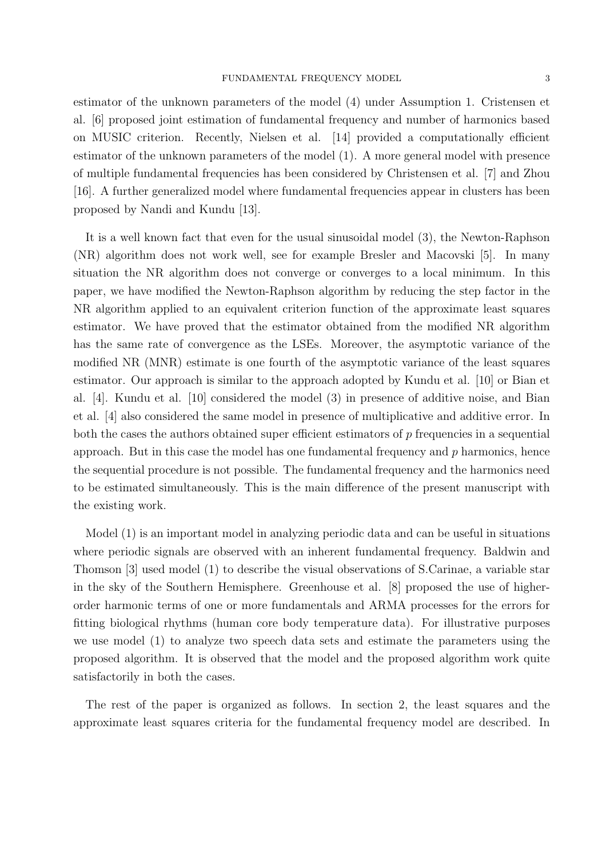estimator of the unknown parameters of the model (4) under Assumption 1. Cristensen et al. [6] proposed joint estimation of fundamental frequency and number of harmonics based on MUSIC criterion. Recently, Nielsen et al. [14] provided a computationally efficient estimator of the unknown parameters of the model (1). A more general model with presence of multiple fundamental frequencies has been considered by Christensen et al. [7] and Zhou [16]. A further generalized model where fundamental frequencies appear in clusters has been proposed by Nandi and Kundu [13].

It is a well known fact that even for the usual sinusoidal model (3), the Newton-Raphson (NR) algorithm does not work well, see for example Bresler and Macovski [5]. In many situation the NR algorithm does not converge or converges to a local minimum. In this paper, we have modified the Newton-Raphson algorithm by reducing the step factor in the NR algorithm applied to an equivalent criterion function of the approximate least squares estimator. We have proved that the estimator obtained from the modified NR algorithm has the same rate of convergence as the LSEs. Moreover, the asymptotic variance of the modified NR (MNR) estimate is one fourth of the asymptotic variance of the least squares estimator. Our approach is similar to the approach adopted by Kundu et al. [10] or Bian et al. [4]. Kundu et al. [10] considered the model (3) in presence of additive noise, and Bian et al. [4] also considered the same model in presence of multiplicative and additive error. In both the cases the authors obtained super efficient estimators of  $p$  frequencies in a sequential approach. But in this case the model has one fundamental frequency and  $p$  harmonics, hence the sequential procedure is not possible. The fundamental frequency and the harmonics need to be estimated simultaneously. This is the main difference of the present manuscript with the existing work.

Model (1) is an important model in analyzing periodic data and can be useful in situations where periodic signals are observed with an inherent fundamental frequency. Baldwin and Thomson [3] used model (1) to describe the visual observations of S.Carinae, a variable star in the sky of the Southern Hemisphere. Greenhouse et al. [8] proposed the use of higherorder harmonic terms of one or more fundamentals and ARMA processes for the errors for fitting biological rhythms (human core body temperature data). For illustrative purposes we use model (1) to analyze two speech data sets and estimate the parameters using the proposed algorithm. It is observed that the model and the proposed algorithm work quite satisfactorily in both the cases.

The rest of the paper is organized as follows. In section 2, the least squares and the approximate least squares criteria for the fundamental frequency model are described. In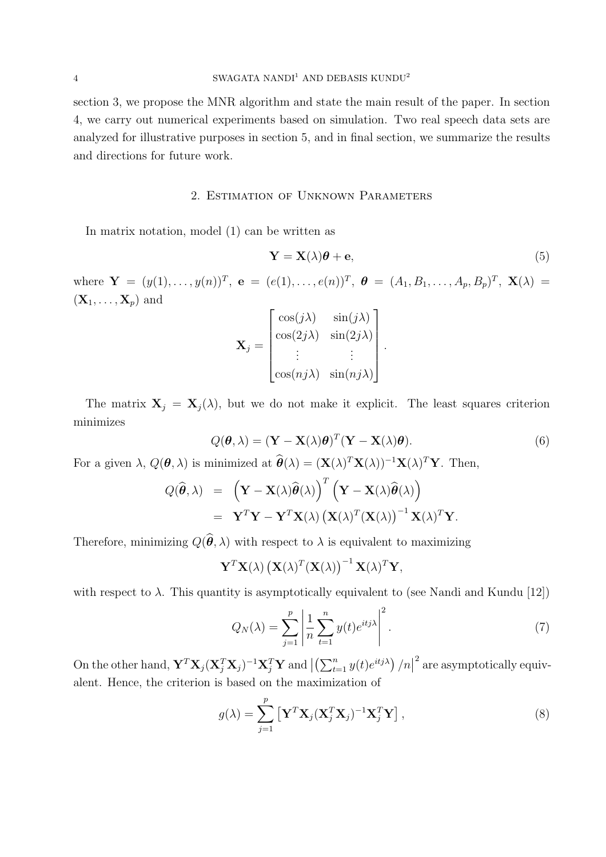section 3, we propose the MNR algorithm and state the main result of the paper. In section 4, we carry out numerical experiments based on simulation. Two real speech data sets are analyzed for illustrative purposes in section 5, and in final section, we summarize the results and directions for future work.

### 2. Estimation of Unknown Parameters

In matrix notation, model (1) can be written as

$$
\mathbf{Y} = \mathbf{X}(\lambda)\boldsymbol{\theta} + \mathbf{e},\tag{5}
$$

where  $\mathbf{Y} = (y(1), \ldots, y(n))^T$ ,  $\mathbf{e} = (e(1), \ldots, e(n))^T$ ,  $\mathbf{\theta} = (A_1, B_1, \ldots, A_p, B_p)^T$ ,  $\mathbf{X}(\lambda) =$  $(\mathbf{X}_1, \ldots, \mathbf{X}_p)$  and

$$
\mathbf{X}_{j} = \begin{bmatrix} \cos(j\lambda) & \sin(j\lambda) \\ \cos(2j\lambda) & \sin(2j\lambda) \\ \vdots & \vdots \\ \cos(nj\lambda) & \sin(nj\lambda) \end{bmatrix}.
$$

The matrix  $X_j = X_j(\lambda)$ , but we do not make it explicit. The least squares criterion minimizes

$$
Q(\boldsymbol{\theta}, \lambda) = (\mathbf{Y} - \mathbf{X}(\lambda)\boldsymbol{\theta})^T (\mathbf{Y} - \mathbf{X}(\lambda)\boldsymbol{\theta}).
$$
\n(6)

For a given  $\lambda$ ,  $Q(\theta, \lambda)$  is minimized at  $\widehat{\theta}(\lambda) = (\mathbf{X}(\lambda)^T \mathbf{X}(\lambda))^{-1} \mathbf{X}(\lambda)^T \mathbf{Y}$ . Then,

$$
Q(\widehat{\boldsymbol{\theta}},\lambda) = (\mathbf{Y} - \mathbf{X}(\lambda)\widehat{\boldsymbol{\theta}}(\lambda))^{T} (\mathbf{Y} - \mathbf{X}(\lambda)\widehat{\boldsymbol{\theta}}(\lambda))
$$
  
=  $\mathbf{Y}^{T}\mathbf{Y} - \mathbf{Y}^{T}\mathbf{X}(\lambda) (\mathbf{X}(\lambda))^{T} (\mathbf{X}(\lambda))^{-1} \mathbf{X}(\lambda)^{T}\mathbf{Y}.$ 

Therefore, minimizing  $Q(\hat{\theta}, \lambda)$  with respect to  $\lambda$  is equivalent to maximizing

 $\boldsymbol{p}$ 

$$
\mathbf{Y}^T \mathbf{X}(\lambda) \left( \mathbf{X}(\lambda)^T (\mathbf{X}(\lambda) \right)^{-1} \mathbf{X}(\lambda)^T \mathbf{Y},
$$

with respect to  $\lambda$ . This quantity is asymptotically equivalent to (see Nandi and Kundu [12])

$$
Q_N(\lambda) = \sum_{j=1}^p \left| \frac{1}{n} \sum_{t=1}^n y(t) e^{itj\lambda} \right|^2.
$$
 (7)

On the other hand,  $\mathbf{Y}^T\mathbf{X}_j(\mathbf{X}_j^T\mathbf{X}_j)^{-1}\mathbf{X}_j^T\mathbf{Y}$  and  $\left|\left(\sum_{t=1}^ny(t)e^{itj\lambda}\right)/n\right|^2$  are asymptotically equivalent. Hence, the criterion is based on the maximization of

$$
g(\lambda) = \sum_{j=1}^{P} \left[ \mathbf{Y}^{T} \mathbf{X}_{j} (\mathbf{X}_{j}^{T} \mathbf{X}_{j})^{-1} \mathbf{X}_{j}^{T} \mathbf{Y} \right],
$$
\n(8)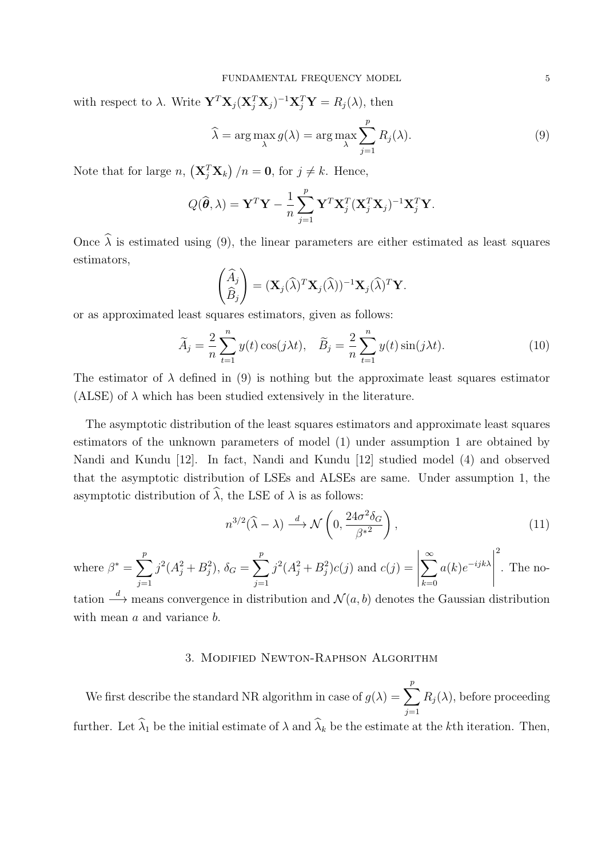with respect to  $\lambda$ . Write  $\mathbf{Y}^T \mathbf{X}_j (\mathbf{X}_j^T \mathbf{X}_j)^{-1} \mathbf{X}_j^T \mathbf{Y} = R_j(\lambda)$ , then

$$
\widehat{\lambda} = \arg \max_{\lambda} g(\lambda) = \arg \max_{\lambda} \sum_{j=1}^{p} R_j(\lambda).
$$
 (9)

Note that for large n,  $(\mathbf{X}_{j}^{T} \mathbf{X}_{k})/n = \mathbf{0}$ , for  $j \neq k$ . Hence,

$$
Q(\widehat{\boldsymbol{\theta}}, \lambda) = \mathbf{Y}^T \mathbf{Y} - \frac{1}{n} \sum_{j=1}^p \mathbf{Y}^T \mathbf{X}_j^T (\mathbf{X}_j^T \mathbf{X}_j)^{-1} \mathbf{X}_j^T \mathbf{Y}.
$$

Once  $\hat{\lambda}$  is estimated using (9), the linear parameters are either estimated as least squares estimators,

$$
\begin{pmatrix} \widehat{A}_j \\ \widehat{B}_j \end{pmatrix} = (\mathbf{X}_j(\widehat{\lambda})^T \mathbf{X}_j(\widehat{\lambda}))^{-1} \mathbf{X}_j(\widehat{\lambda})^T \mathbf{Y}.
$$

or as approximated least squares estimators, given as follows:

$$
\widetilde{A}_j = \frac{2}{n} \sum_{t=1}^n y(t) \cos(j\lambda t), \quad \widetilde{B}_j = \frac{2}{n} \sum_{t=1}^n y(t) \sin(j\lambda t). \tag{10}
$$

The estimator of  $\lambda$  defined in (9) is nothing but the approximate least squares estimator (ALSE) of  $\lambda$  which has been studied extensively in the literature.

The asymptotic distribution of the least squares estimators and approximate least squares estimators of the unknown parameters of model (1) under assumption 1 are obtained by Nandi and Kundu [12]. In fact, Nandi and Kundu [12] studied model (4) and observed that the asymptotic distribution of LSEs and ALSEs are same. Under assumption 1, the asymptotic distribution of  $\widehat{\lambda}$ , the LSE of  $\lambda$  is as follows:

$$
n^{3/2}(\widehat{\lambda} - \lambda) \xrightarrow{d} \mathcal{N}\left(0, \frac{24\sigma^2 \delta_G}{\beta^{*2}}\right),\tag{11}
$$

where  $\beta^* = \sum_{n=1}^{p}$  $j=1$  $j^2(A_j^2+B_j^2), \delta_G = \sum^p$  $j=1$  $j^2(A_j^2 + B_j^2)c(j)$  and  $c(j) =$   $\sum^{\infty}$  $_{k=0}$  $a(k)e^{-ijk\lambda}$  2 . The no-

tation  $\stackrel{d}{\longrightarrow}$  means convergence in distribution and  $\mathcal{N}(a, b)$  denotes the Gaussian distribution with mean a and variance b.

# 3. Modified Newton-Raphson Algorithm

We first describe the standard NR algorithm in case of  $g(\lambda) = \sum_{n=1}^{p}$  $j=1$  $R_j(\lambda)$ , before proceeding

further. Let  $\widehat{\lambda}_1$  be the initial estimate of  $\lambda$  and  $\widehat{\lambda}_k$  be the estimate at the kth iteration. Then,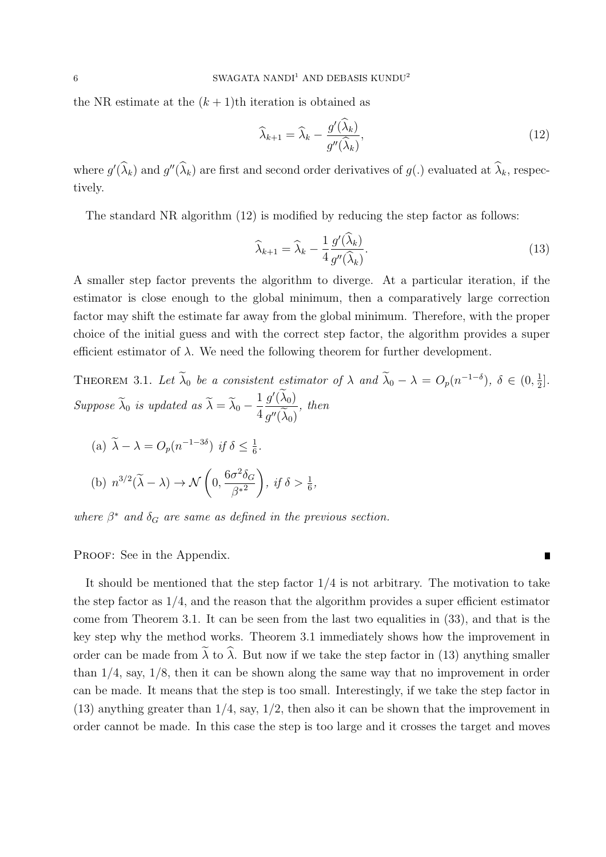the NR estimate at the  $(k+1)$ th iteration is obtained as

$$
\widehat{\lambda}_{k+1} = \widehat{\lambda}_k - \frac{g'(\widehat{\lambda}_k)}{g''(\widehat{\lambda}_k)},\tag{12}
$$

where  $g'(\hat{\lambda}_k)$  and  $g''(\hat{\lambda}_k)$  are first and second order derivatives of  $g(.)$  evaluated at  $\hat{\lambda}_k$ , respectively.

The standard NR algorithm (12) is modified by reducing the step factor as follows:

$$
\widehat{\lambda}_{k+1} = \widehat{\lambda}_k - \frac{1}{4} \frac{g'(\widehat{\lambda}_k)}{g''(\widehat{\lambda}_k)}.
$$
\n(13)

A smaller step factor prevents the algorithm to diverge. At a particular iteration, if the estimator is close enough to the global minimum, then a comparatively large correction factor may shift the estimate far away from the global minimum. Therefore, with the proper choice of the initial guess and with the correct step factor, the algorithm provides a super efficient estimator of  $\lambda$ . We need the following theorem for further development.

THEOREM 3.1. Let 
$$
\tilde{\lambda}_0
$$
 be a consistent estimator of  $\lambda$  and  $\tilde{\lambda}_0 - \lambda = O_p(n^{-1-\delta})$ ,  $\delta \in (0, \frac{1}{2}]$ .  
\nSuppose  $\tilde{\lambda}_0$  is updated as  $\tilde{\lambda} = \tilde{\lambda}_0 - \frac{1}{4} \frac{g'(\tilde{\lambda}_0)}{g''(\tilde{\lambda}_0)}$ , then  
\n(a)  $\tilde{\lambda} - \lambda = O_p(n^{-1-3\delta})$  if  $\delta \le \frac{1}{6}$ .  
\n(b)  $n^{3/2}(\tilde{\lambda} - \lambda) \to \mathcal{N}\left(0, \frac{6\sigma^2 \delta_G}{\beta^{*2}}\right)$ , if  $\delta > \frac{1}{6}$ ,

where  $\beta^*$  and  $\delta_G$  are same as defined in the previous section.

PROOF: See in the Appendix.

It should be mentioned that the step factor  $1/4$  is not arbitrary. The motivation to take the step factor as  $1/4$ , and the reason that the algorithm provides a super efficient estimator come from Theorem 3.1. It can be seen from the last two equalities in (33), and that is the key step why the method works. Theorem 3.1 immediately shows how the improvement in order can be made from  $\tilde{\lambda}$  to  $\hat{\lambda}$ . But now if we take the step factor in (13) anything smaller than 1/4, say, 1/8, then it can be shown along the same way that no improvement in order can be made. It means that the step is too small. Interestingly, if we take the step factor in (13) anything greater than 1/4, say, 1/2, then also it can be shown that the improvement in order cannot be made. In this case the step is too large and it crosses the target and moves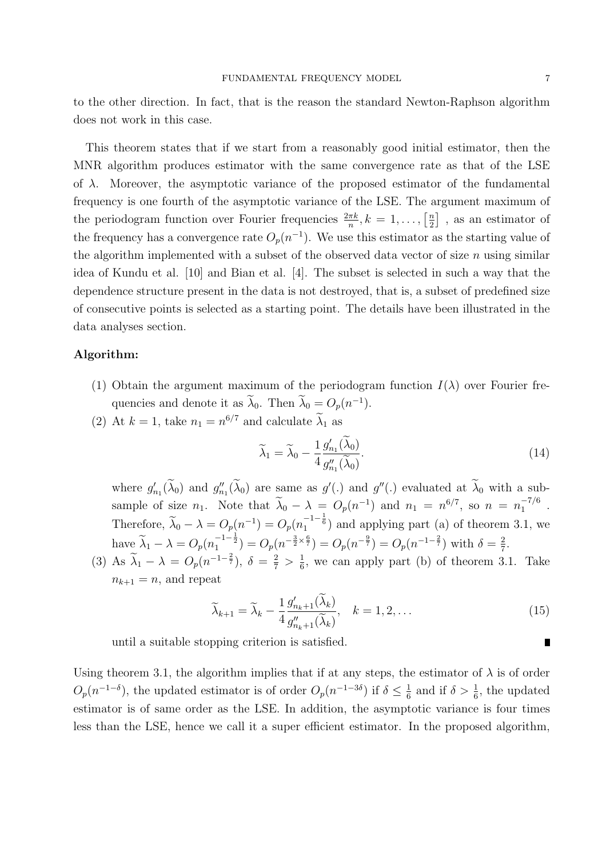to the other direction. In fact, that is the reason the standard Newton-Raphson algorithm does not work in this case.

This theorem states that if we start from a reasonably good initial estimator, then the MNR algorithm produces estimator with the same convergence rate as that of the LSE of  $\lambda$ . Moreover, the asymptotic variance of the proposed estimator of the fundamental frequency is one fourth of the asymptotic variance of the LSE. The argument maximum of the periodogram function over Fourier frequencies  $\frac{2\pi k}{n}, k = 1, \ldots, \left[\frac{n}{2}\right]$  $\left[\frac{n}{2}\right]$ , as an estimator of the frequency has a convergence rate  $O_p(n^{-1})$ . We use this estimator as the starting value of the algorithm implemented with a subset of the observed data vector of size  $n$  using similar idea of Kundu et al. [10] and Bian et al. [4]. The subset is selected in such a way that the dependence structure present in the data is not destroyed, that is, a subset of predefined size of consecutive points is selected as a starting point. The details have been illustrated in the data analyses section.

### Algorithm:

- (1) Obtain the argument maximum of the periodogram function  $I(\lambda)$  over Fourier frequencies and denote it as  $\widetilde{\lambda}_0$ . Then  $\widetilde{\lambda}_0 = O_p(n^{-1})$ .
- (2) At  $k = 1$ , take  $n_1 = n^{6/7}$  and calculate  $\lambda_1$  as

$$
\widetilde{\lambda}_1 = \widetilde{\lambda}_0 - \frac{1}{4} \frac{g'_{n_1}(\widetilde{\lambda}_0)}{g''_{n_1}(\widetilde{\lambda}_0)}.
$$
\n(14)

where  $g'_i$  $'_{n_1}(\widetilde{\lambda}_0)$  and  $g''_n$  $_{n_1}''(\widetilde{\lambda}_0)$  are same as  $g'(.)$  and  $g''(.)$  evaluated at  $\widetilde{\lambda}_0$  with a subsample of size  $n_1$ . Note that  $\tilde{\lambda}_0 - \lambda = O_p(n^{-1})$  and  $n_1 = n^{6/7}$ , so  $n = n_1^{-7/6}$  $\frac{-776}{1}$ . Therefore,  $\tilde{\lambda}_0 - \lambda = O_p(n_1^{-1}) = O_p(n_1^{-1-\frac{1}{6}})$  and applying part (a) of theorem 3.1, we have  $\widetilde{\lambda}_1 - \lambda = O_p(n_1^{-1-\frac{1}{2}}) = O_p(n^{-\frac{3}{2}\times\frac{6}{7}}) = O_p(n^{-\frac{9}{7}}) = O_p(n^{-1-\frac{2}{7}})$  with  $\delta = \frac{2}{7}$  $\frac{2}{7}$ .

(3) As  $\tilde{\lambda}_1 - \lambda = O_p(n^{-1-\frac{2}{7}}), \delta = \frac{2}{7} > \frac{1}{6}$  $\frac{1}{6}$ , we can apply part (b) of theorem 3.1. Take  $n_{k+1} = n$ , and repeat

$$
\widetilde{\lambda}_{k+1} = \widetilde{\lambda}_k - \frac{1}{4} \frac{g'_{n_k+1}(\widetilde{\lambda}_k)}{g''_{n_k+1}(\widetilde{\lambda}_k)}, \quad k = 1, 2, \dots
$$
\n(15)

until a suitable stopping criterion is satisfied.

Using theorem 3.1, the algorithm implies that if at any steps, the estimator of  $\lambda$  is of order  $O_p(n^{-1-\delta})$ , the updated estimator is of order  $O_p(n^{-1-3\delta})$  if  $\delta \leq \frac{1}{6}$  $\frac{1}{6}$  and if  $\delta > \frac{1}{6}$ , the updated estimator is of same order as the LSE. In addition, the asymptotic variance is four times less than the LSE, hence we call it a super efficient estimator. In the proposed algorithm,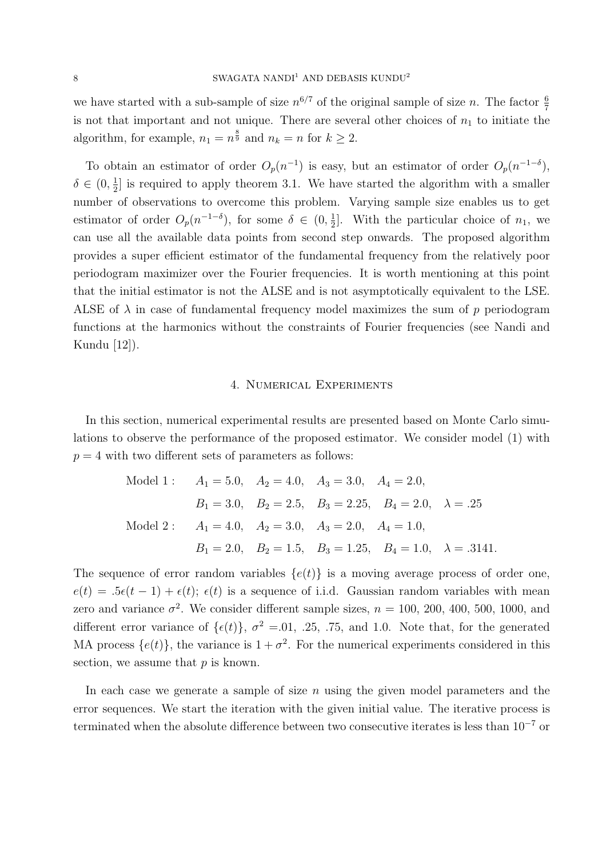we have started with a sub-sample of size  $n^{6/7}$  of the original sample of size n. The factor  $\frac{6}{7}$ is not that important and not unique. There are several other choices of  $n_1$  to initiate the algorithm, for example,  $n_1 = n^{\frac{8}{9}}$  and  $n_k = n$  for  $k \ge 2$ .

To obtain an estimator of order  $O_p(n^{-1})$  is easy, but an estimator of order  $O_p(n^{-1-\delta})$ ,  $\delta \in (0, \frac{1}{2})$  $\frac{1}{2}$  is required to apply theorem 3.1. We have started the algorithm with a smaller number of observations to overcome this problem. Varying sample size enables us to get estimator of order  $O_p(n^{-1-\delta})$ , for some  $\delta \in (0, \frac{1}{2})$  $\frac{1}{2}$ . With the particular choice of  $n_1$ , we can use all the available data points from second step onwards. The proposed algorithm provides a super efficient estimator of the fundamental frequency from the relatively poor periodogram maximizer over the Fourier frequencies. It is worth mentioning at this point that the initial estimator is not the ALSE and is not asymptotically equivalent to the LSE. ALSE of  $\lambda$  in case of fundamental frequency model maximizes the sum of p periodogram functions at the harmonics without the constraints of Fourier frequencies (see Nandi and Kundu [12]).

### 4. Numerical Experiments

In this section, numerical experimental results are presented based on Monte Carlo simulations to observe the performance of the proposed estimator. We consider model (1) with  $p = 4$  with two different sets of parameters as follows:

Model 1: 
$$
A_1 = 5.0
$$
,  $A_2 = 4.0$ ,  $A_3 = 3.0$ ,  $A_4 = 2.0$ ,  
\n $B_1 = 3.0$ ,  $B_2 = 2.5$ ,  $B_3 = 2.25$ ,  $B_4 = 2.0$ ,  $\lambda = .25$   
\nModel 2:  $A_1 = 4.0$ ,  $A_2 = 3.0$ ,  $A_3 = 2.0$ ,  $A_4 = 1.0$ ,  
\n $B_1 = 2.0$ ,  $B_2 = 1.5$ ,  $B_3 = 1.25$ ,  $B_4 = 1.0$ ,  $\lambda = .3141$ .

The sequence of error random variables  $\{e(t)\}\$ is a moving average process of order one,  $e(t) = .5\epsilon(t-1) + \epsilon(t);$   $\epsilon(t)$  is a sequence of i.i.d. Gaussian random variables with mean zero and variance  $\sigma^2$ . We consider different sample sizes,  $n = 100, 200, 400, 500, 1000,$  and different error variance of  $\{\epsilon(t)\}, \sigma^2 = 0.01, 0.25, 0.75, 0.50$  and 1.0. Note that, for the generated MA process  $\{e(t)\}\$ , the variance is  $1 + \sigma^2$ . For the numerical experiments considered in this section, we assume that  $p$  is known.

In each case we generate a sample of size  $n$  using the given model parameters and the error sequences. We start the iteration with the given initial value. The iterative process is terminated when the absolute difference between two consecutive iterates is less than 10<sup>−</sup><sup>7</sup> or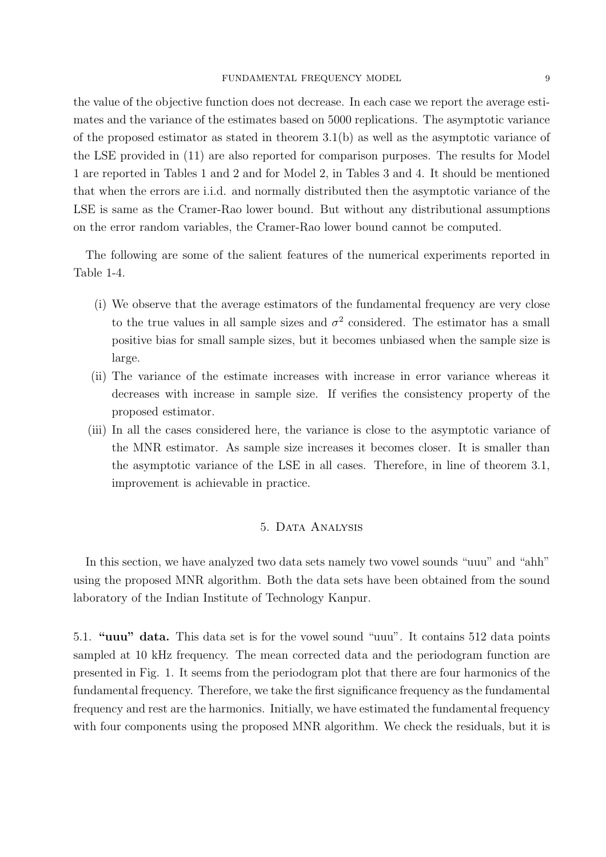the value of the objective function does not decrease. In each case we report the average estimates and the variance of the estimates based on 5000 replications. The asymptotic variance of the proposed estimator as stated in theorem 3.1(b) as well as the asymptotic variance of the LSE provided in (11) are also reported for comparison purposes. The results for Model 1 are reported in Tables 1 and 2 and for Model 2, in Tables 3 and 4. It should be mentioned that when the errors are i.i.d. and normally distributed then the asymptotic variance of the LSE is same as the Cramer-Rao lower bound. But without any distributional assumptions on the error random variables, the Cramer-Rao lower bound cannot be computed.

The following are some of the salient features of the numerical experiments reported in Table 1-4.

- (i) We observe that the average estimators of the fundamental frequency are very close to the true values in all sample sizes and  $\sigma^2$  considered. The estimator has a small positive bias for small sample sizes, but it becomes unbiased when the sample size is large.
- (ii) The variance of the estimate increases with increase in error variance whereas it decreases with increase in sample size. If verifies the consistency property of the proposed estimator.
- (iii) In all the cases considered here, the variance is close to the asymptotic variance of the MNR estimator. As sample size increases it becomes closer. It is smaller than the asymptotic variance of the LSE in all cases. Therefore, in line of theorem 3.1, improvement is achievable in practice.

# 5. Data Analysis

In this section, we have analyzed two data sets namely two vowel sounds "uuu" and "ahh" using the proposed MNR algorithm. Both the data sets have been obtained from the sound laboratory of the Indian Institute of Technology Kanpur.

5.1. "uuu" data. This data set is for the vowel sound "uuu". It contains 512 data points sampled at 10 kHz frequency. The mean corrected data and the periodogram function are presented in Fig. 1. It seems from the periodogram plot that there are four harmonics of the fundamental frequency. Therefore, we take the first significance frequency as the fundamental frequency and rest are the harmonics. Initially, we have estimated the fundamental frequency with four components using the proposed MNR algorithm. We check the residuals, but it is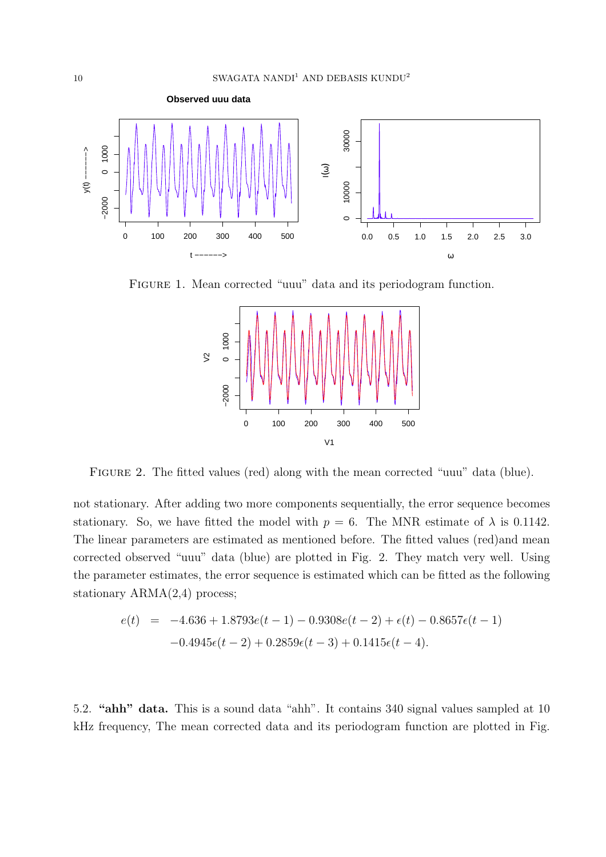

Figure 1. Mean corrected "uuu" data and its periodogram function.



Figure 2. The fitted values (red) along with the mean corrected "uuu" data (blue).

not stationary. After adding two more components sequentially, the error sequence becomes stationary. So, we have fitted the model with  $p = 6$ . The MNR estimate of  $\lambda$  is 0.1142. The linear parameters are estimated as mentioned before. The fitted values (red)and mean corrected observed "uuu" data (blue) are plotted in Fig. 2. They match very well. Using the parameter estimates, the error sequence is estimated which can be fitted as the following stationary ARMA(2,4) process;

$$
e(t) = -4.636 + 1.8793e(t-1) - 0.9308e(t-2) + \epsilon(t) - 0.8657\epsilon(t-1)
$$

$$
-0.4945\epsilon(t-2) + 0.2859\epsilon(t-3) + 0.1415\epsilon(t-4).
$$

5.2. "ahh" data. This is a sound data "ahh". It contains 340 signal values sampled at 10 kHz frequency, The mean corrected data and its periodogram function are plotted in Fig.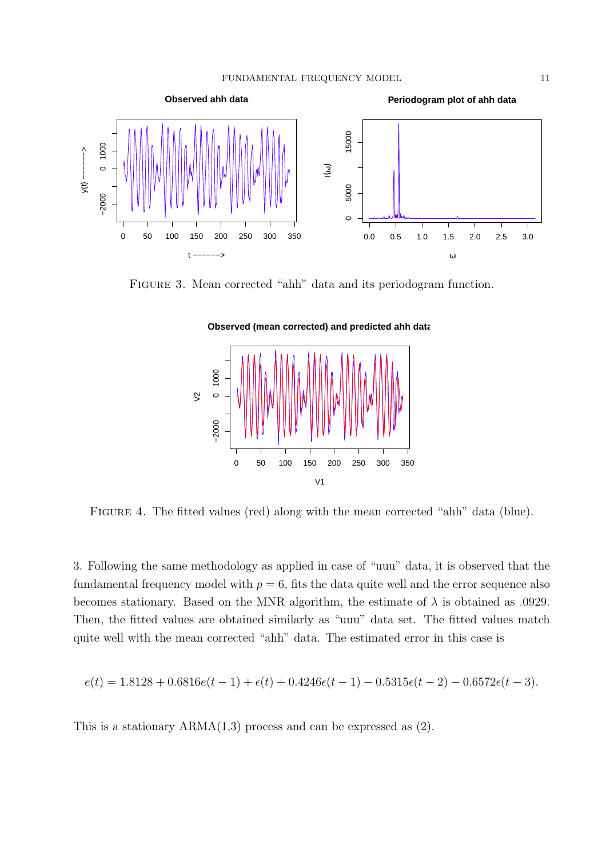

FIGURE 3. Mean corrected "ahh" data and its periodogram function.

**Observed (mean corrected) and predicted ahh data**



FIGURE 4. The fitted values (red) along with the mean corrected "ahh" data (blue).

3. Following the same methodology as applied in case of "uuu" data, it is observed that the fundamental frequency model with  $p = 6$ , fits the data quite well and the error sequence also becomes stationary. Based on the MNR algorithm, the estimate of  $\lambda$  is obtained as .0929. Then, the fitted values are obtained similarly as "uuu" data set. The fitted values match quite well with the mean corrected "ahh" data. The estimated error in this case is

$$
e(t) = 1.8128 + 0.6816e(t-1) + \epsilon(t) + 0.4246\epsilon(t-1) - 0.5315\epsilon(t-2) - 0.6572\epsilon(t-3).
$$

This is a stationary  $ARMA(1,3)$  process and can be expressed as  $(2)$ .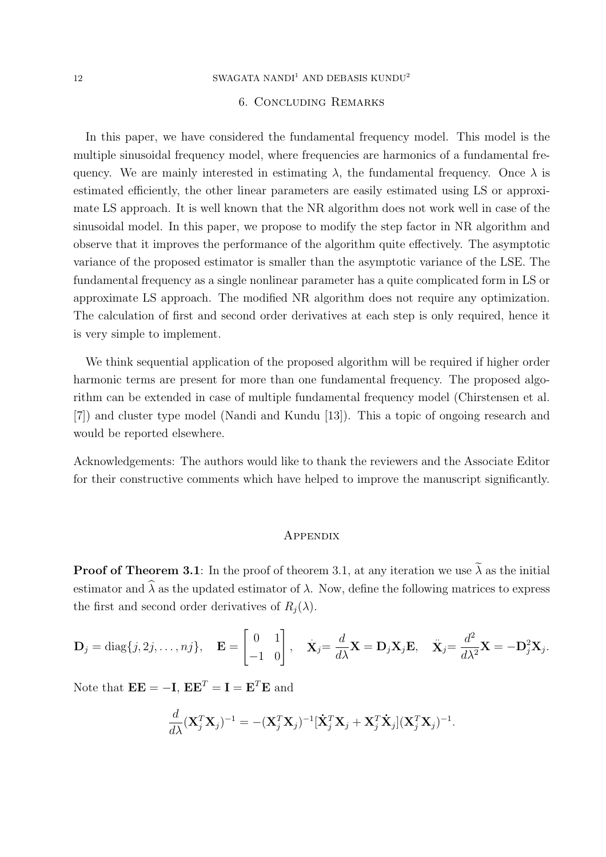### 12 SWAGATA NANDI $^1$  AND DEBASIS KUNDU $^2$

#### 6. Concluding Remarks

In this paper, we have considered the fundamental frequency model. This model is the multiple sinusoidal frequency model, where frequencies are harmonics of a fundamental frequency. We are mainly interested in estimating  $\lambda$ , the fundamental frequency. Once  $\lambda$  is estimated efficiently, the other linear parameters are easily estimated using LS or approximate LS approach. It is well known that the NR algorithm does not work well in case of the sinusoidal model. In this paper, we propose to modify the step factor in NR algorithm and observe that it improves the performance of the algorithm quite effectively. The asymptotic variance of the proposed estimator is smaller than the asymptotic variance of the LSE. The fundamental frequency as a single nonlinear parameter has a quite complicated form in LS or approximate LS approach. The modified NR algorithm does not require any optimization. The calculation of first and second order derivatives at each step is only required, hence it is very simple to implement.

We think sequential application of the proposed algorithm will be required if higher order harmonic terms are present for more than one fundamental frequency. The proposed algorithm can be extended in case of multiple fundamental frequency model (Chirstensen et al. [7]) and cluster type model (Nandi and Kundu [13]). This a topic of ongoing research and would be reported elsewhere.

Acknowledgements: The authors would like to thank the reviewers and the Associate Editor for their constructive comments which have helped to improve the manuscript significantly.

#### **APPENDIX**

**Proof of Theorem 3.1:** In the proof of theorem 3.1, at any iteration we use  $\tilde{\lambda}$  as the initial estimator and  $\hat{\lambda}$  as the updated estimator of  $\lambda$ . Now, define the following matrices to express the first and second order derivatives of  $R_i(\lambda)$ .

$$
\mathbf{D}_j = \text{diag}\{j, 2j, \dots, nj\}, \quad \mathbf{E} = \begin{bmatrix} 0 & 1 \\ -1 & 0 \end{bmatrix}, \quad \dot{\mathbf{X}}_j = \frac{d}{d\lambda} \mathbf{X} = \mathbf{D}_j \mathbf{X}_j \mathbf{E}, \quad \ddot{\mathbf{X}}_j = \frac{d^2}{d\lambda^2} \mathbf{X} = -\mathbf{D}_j^2 \mathbf{X}_j.
$$

Note that  $\mathbf{E} \mathbf{E} = -\mathbf{I}$ ,  $\mathbf{E} \mathbf{E}^T = \mathbf{I} = \mathbf{E}^T \mathbf{E}$  and

$$
\frac{d}{d\lambda}(\mathbf{X}_j^T\mathbf{X}_j)^{-1} = -(\mathbf{X}_j^T\mathbf{X}_j)^{-1}[\dot{\mathbf{X}}_j^T\mathbf{X}_j + \mathbf{X}_j^T\dot{\mathbf{X}}_j](\mathbf{X}_j^T\mathbf{X}_j)^{-1}.
$$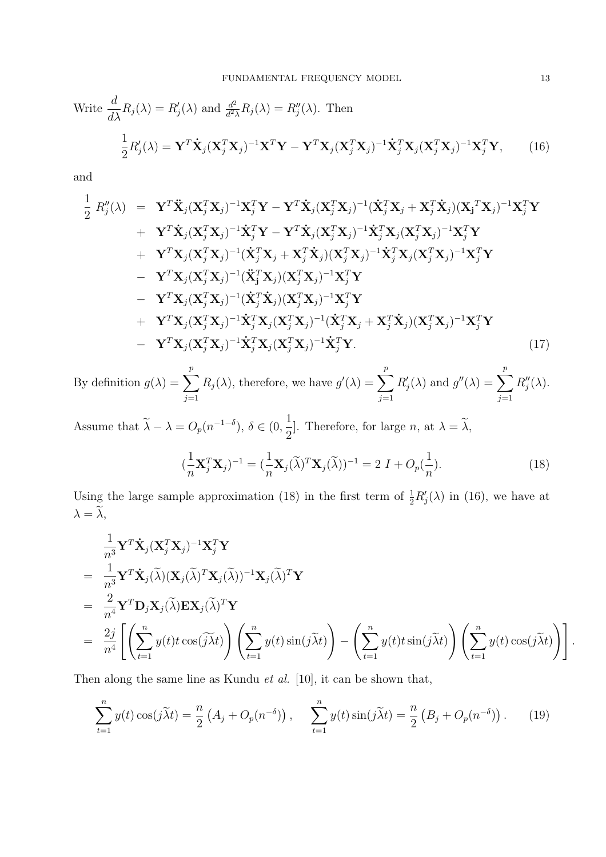Write 
$$
\frac{d}{d\lambda}R_j(\lambda) = R'_j(\lambda)
$$
 and  $\frac{d^2}{d^2\lambda}R_j(\lambda) = R''_j(\lambda)$ . Then  
\n
$$
\frac{1}{2}R'_j(\lambda) = \mathbf{Y}^T \dot{\mathbf{X}}_j (\mathbf{X}_j^T \mathbf{X}_j)^{-1} \mathbf{X}^T \mathbf{Y} - \mathbf{Y}^T \mathbf{X}_j (\mathbf{X}_j^T \mathbf{X}_j)^{-1} \dot{\mathbf{X}}_j^T \mathbf{X}_j (\mathbf{X}_j^T \mathbf{X}_j)^{-1} \mathbf{X}_j^T \mathbf{Y},
$$
\n(16)

and

$$
\frac{1}{2} R''_j(\lambda) = \mathbf{Y}^T \ddot{\mathbf{X}}_j (\mathbf{X}_j^T \mathbf{X}_j)^{-1} \mathbf{X}_j^T \mathbf{Y} - \mathbf{Y}^T \dot{\mathbf{X}}_j (\mathbf{X}_j^T \mathbf{X}_j)^{-1} (\dot{\mathbf{X}}_j^T \mathbf{X}_j + \mathbf{X}_j^T \dot{\mathbf{X}}_j) (\mathbf{X}_j^T \mathbf{X}_j)^{-1} \mathbf{X}_j^T \mathbf{Y} \n+ \mathbf{Y}^T \dot{\mathbf{X}}_j (\mathbf{X}_j^T \mathbf{X}_j)^{-1} \dot{\mathbf{X}}_j^T \mathbf{Y} - \mathbf{Y}^T \dot{\mathbf{X}}_j (\mathbf{X}_j^T \mathbf{X}_j)^{-1} \dot{\mathbf{X}}_j^T \mathbf{X}_j (\mathbf{X}_j^T \mathbf{X}_j)^{-1} \mathbf{X}_j^T \mathbf{Y} \n+ \mathbf{Y}^T \mathbf{X}_j (\mathbf{X}_j^T \mathbf{X}_j)^{-1} (\dot{\mathbf{X}}_j^T \mathbf{X}_j + \mathbf{X}_j^T \dot{\mathbf{X}}_j) (\mathbf{X}_j^T \mathbf{X}_j)^{-1} \dot{\mathbf{X}}_j^T \mathbf{X}_j (\mathbf{X}_j^T \mathbf{X}_j)^{-1} \mathbf{X}_j^T \mathbf{Y} \n- \mathbf{Y}^T \mathbf{X}_j (\mathbf{X}_j^T \mathbf{X}_j)^{-1} (\dot{\mathbf{X}}_j^T \dot{\mathbf{X}}_j) (\mathbf{X}_j^T \mathbf{X}_j)^{-1} \mathbf{X}_j^T \mathbf{Y} \n+ \mathbf{Y}^T \mathbf{X}_j (\mathbf{X}_j^T \mathbf{X}_j)^{-1} (\dot{\mathbf{X}}_j^T \dot{\mathbf{X}}_j)^{-1} (\dot{\mathbf{X}}_j^T \mathbf{X}_j + \mathbf{X}_j^T \dot{\mathbf{X}}_j) (\mathbf{X}_j^T \mathbf{X}_j)^{-1} \mathbf{X}_j^T \mathbf{Y} \n+ \mathbf{Y}^T \mathbf{X}_j (\mathbf{X}_j^T \
$$

By definition  $g(\lambda) = \sum_{n=0}^{\infty}$  $j=1$  $R_j(\lambda)$ , therefore, we have  $g'(\lambda) = \sum_{k=1}^p \lambda_k^k$  $j=1$  $R'$  $j'_{j}(\lambda)$  and  $g''(\lambda) = \sum^{p}$  $j=1$  $R_i''$  $_j^{\prime\prime}(\lambda).$ 

Assume that  $\widetilde{\lambda} - \lambda = O_p(n^{-1-\delta}), \delta \in (0, \mathbb{R})$ 1  $\frac{1}{2}$ . Therefore, for large *n*, at  $\lambda = \lambda$ ,

$$
(\frac{1}{n}\mathbf{X}_j^T\mathbf{X}_j)^{-1} = (\frac{1}{n}\mathbf{X}_j(\widetilde{\lambda})^T\mathbf{X}_j(\widetilde{\lambda}))^{-1} = 2 I + O_p(\frac{1}{n}).
$$
\n(18)

Using the large sample approximation (18) in the first term of  $\frac{1}{2}R'_j(\lambda)$  in (16), we have at  $\lambda = \widetilde{\lambda},$ 

$$
\frac{1}{n^3} \mathbf{Y}^T \dot{\mathbf{X}}_j (\mathbf{X}_j^T \mathbf{X}_j)^{-1} \mathbf{X}_j^T \mathbf{Y}
$$
\n
$$
= \frac{1}{n^3} \mathbf{Y}^T \dot{\mathbf{X}}_j (\tilde{\lambda}) (\mathbf{X}_j (\tilde{\lambda})^T \mathbf{X}_j (\tilde{\lambda}))^{-1} \mathbf{X}_j (\tilde{\lambda})^T \mathbf{Y}
$$
\n
$$
= \frac{2}{n^4} \mathbf{Y}^T \mathbf{D}_j \mathbf{X}_j (\tilde{\lambda}) \mathbf{E} \mathbf{X}_j (\tilde{\lambda})^T \mathbf{Y}
$$
\n
$$
= \frac{2j}{n^4} \left[ \left( \sum_{t=1}^n y(t) t \cos(\tilde{j} \tilde{\lambda} t) \right) \left( \sum_{t=1}^n y(t) \sin(j \tilde{\lambda} t) \right) - \left( \sum_{t=1}^n y(t) t \sin(j \tilde{\lambda} t) \right) \left( \sum_{t=1}^n y(t) \cos(j \tilde{\lambda} t) \right) \right]
$$

Then along the same line as Kundu *et al.* [10], it can be shown that,

$$
\sum_{t=1}^{n} y(t) \cos(j\tilde{\lambda}t) = \frac{n}{2} \left( A_j + O_p(n^{-\delta}) \right), \quad \sum_{t=1}^{n} y(t) \sin(j\tilde{\lambda}t) = \frac{n}{2} \left( B_j + O_p(n^{-\delta}) \right). \tag{19}
$$

.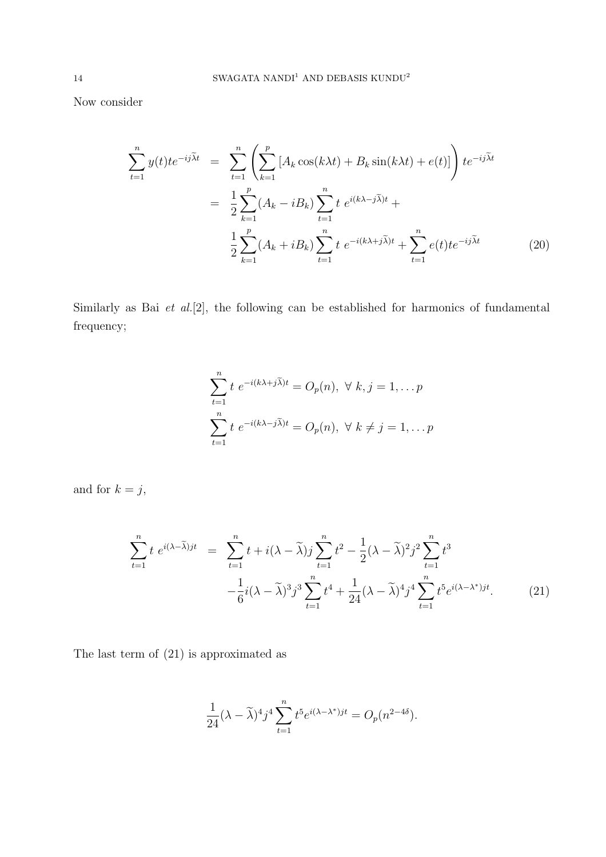Now consider

$$
\sum_{t=1}^{n} y(t)te^{-ij\tilde{\lambda}t} = \sum_{t=1}^{n} \left( \sum_{k=1}^{p} \left[ A_k \cos(k\lambda t) + B_k \sin(k\lambda t) + e(t) \right] \right) te^{-ij\tilde{\lambda}t}
$$

$$
= \frac{1}{2} \sum_{k=1}^{p} (A_k - iB_k) \sum_{t=1}^{n} t e^{i(k\lambda - j\tilde{\lambda})t} + \frac{1}{2} \sum_{k=1}^{p} (A_k + iB_k) \sum_{t=1}^{n} t e^{-i(k\lambda + j\tilde{\lambda})t} + \sum_{t=1}^{n} e(t)te^{-ij\tilde{\lambda}t}
$$
(20)

Similarly as Bai et al.[2], the following can be established for harmonics of fundamental frequency;

$$
\sum_{t=1}^{n} t e^{-i(k\lambda + j\widetilde{\lambda})t} = O_p(n), \ \forall \ k, j = 1, \dots p
$$

$$
\sum_{t=1}^{n} t e^{-i(k\lambda - j\widetilde{\lambda})t} = O_p(n), \ \forall \ k \neq j = 1, \dots p
$$

and for  $k = j$ ,

$$
\sum_{t=1}^{n} t e^{i(\lambda - \tilde{\lambda})jt} = \sum_{t=1}^{n} t + i(\lambda - \tilde{\lambda})j \sum_{t=1}^{n} t^{2} - \frac{1}{2}(\lambda - \tilde{\lambda})^{2}j^{2} \sum_{t=1}^{n} t^{3}
$$

$$
-\frac{1}{6}i(\lambda - \tilde{\lambda})^{3}j^{3} \sum_{t=1}^{n} t^{4} + \frac{1}{24}(\lambda - \tilde{\lambda})^{4}j^{4} \sum_{t=1}^{n} t^{5}e^{i(\lambda - \lambda^{*})jt}.
$$
(21)

The last term of (21) is approximated as

$$
\frac{1}{24}(\lambda-\widetilde{\lambda})^4 j^4 \sum_{t=1}^n t^5 e^{i(\lambda-\lambda^*)jt}=O_p(n^{2-4\delta}).
$$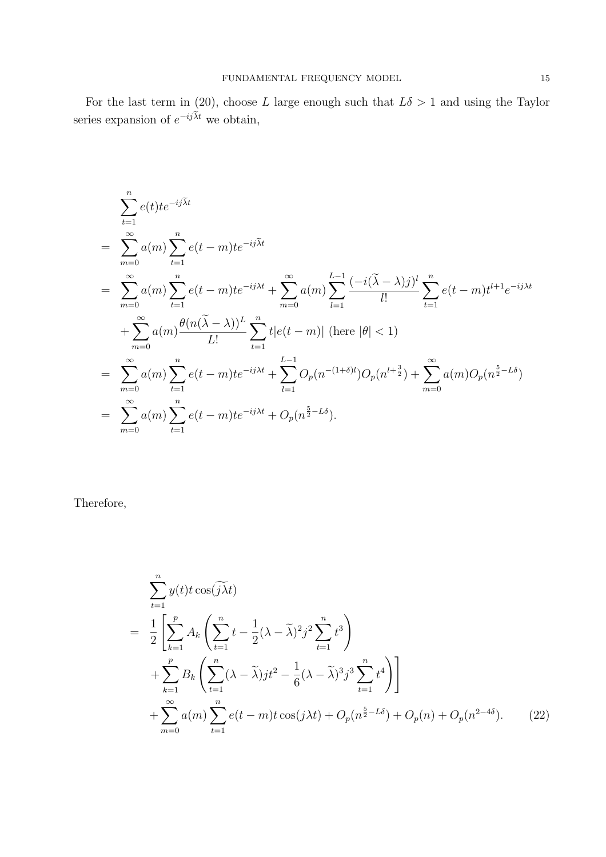For the last term in (20), choose L large enough such that  $L\delta > 1$  and using the Taylor series expansion of  $e^{-ij\widetilde{\lambda}t}$  we obtain,

$$
\sum_{t=1}^{n} e(t)te^{-ij\tilde{\lambda}t}
$$
\n
$$
= \sum_{m=0}^{\infty} a(m) \sum_{t=1}^{n} e(t-m)te^{-ij\tilde{\lambda}t}
$$
\n
$$
= \sum_{m=0}^{\infty} a(m) \sum_{t=1}^{n} e(t-m)te^{-ij\lambda t} + \sum_{m=0}^{\infty} a(m) \sum_{l=1}^{L-1} \frac{(-i(\tilde{\lambda} - \lambda)j)^{l}}{l!} \sum_{t=1}^{n} e(t-m) t^{l+1} e^{-ij\lambda t}
$$
\n
$$
+ \sum_{m=0}^{\infty} a(m) \frac{\theta(n(\tilde{\lambda} - \lambda))^{L}}{L!} \sum_{t=1}^{n} t|e(t-m)| \text{ (here } |\theta| < 1)
$$
\n
$$
= \sum_{m=0}^{\infty} a(m) \sum_{t=1}^{n} e(t-m)te^{-ij\lambda t} + \sum_{l=1}^{L-1} O_p(n^{-(1+\delta)l}) O_p(n^{l+\frac{3}{2}}) + \sum_{m=0}^{\infty} a(m) O_p(n^{\frac{5}{2}-L\delta})
$$
\n
$$
= \sum_{m=0}^{\infty} a(m) \sum_{t=1}^{n} e(t-m)te^{-ij\lambda t} + O_p(n^{\frac{5}{2}-L\delta}).
$$

Therefore,

$$
\sum_{t=1}^{n} y(t) t \cos(\widetilde{j\lambda} t)
$$
\n
$$
= \frac{1}{2} \left[ \sum_{k=1}^{p} A_k \left( \sum_{t=1}^{n} t - \frac{1}{2} (\lambda - \widetilde{\lambda})^2 j^2 \sum_{t=1}^{n} t^3 \right) + \sum_{k=1}^{p} B_k \left( \sum_{t=1}^{n} (\lambda - \widetilde{\lambda}) j t^2 - \frac{1}{6} (\lambda - \widetilde{\lambda})^3 j^3 \sum_{t=1}^{n} t^4 \right) \right] + \sum_{m=0}^{\infty} a(m) \sum_{t=1}^{n} e(t - m) t \cos(j\lambda t) + O_p(n^{\frac{5}{2} - L\delta}) + O_p(n) + O_p(n^{2 - 4\delta}). \tag{22}
$$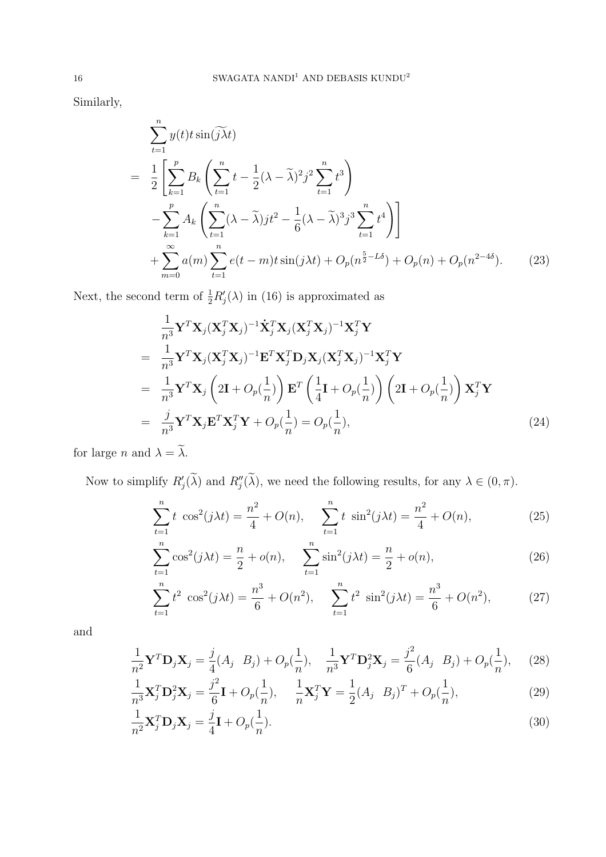Similarly,

$$
\sum_{t=1}^{n} y(t) t \sin(\widetilde{j\lambda} t)
$$
\n
$$
= \frac{1}{2} \left[ \sum_{k=1}^{p} B_k \left( \sum_{t=1}^{n} t - \frac{1}{2} (\lambda - \widetilde{\lambda})^2 j^2 \sum_{t=1}^{n} t^3 \right) - \sum_{k=1}^{p} A_k \left( \sum_{t=1}^{n} (\lambda - \widetilde{\lambda}) j t^2 - \frac{1}{6} (\lambda - \widetilde{\lambda})^3 j^3 \sum_{t=1}^{n} t^4 \right) \right] + \sum_{m=0}^{\infty} a(m) \sum_{t=1}^{n} e(t - m) t \sin(j\lambda t) + O_p(n^{\frac{5}{2} - L\delta}) + O_p(n) + O_p(n^{2 - 4\delta}). \tag{23}
$$

Next, the second term of  $\frac{1}{2}R'_{j}(\lambda)$  in (16) is approximated as

$$
\frac{1}{n^3} \mathbf{Y}^T \mathbf{X}_j (\mathbf{X}_j^T \mathbf{X}_j)^{-1} \dot{\mathbf{X}}_j^T \mathbf{X}_j (\mathbf{X}_j^T \mathbf{X}_j)^{-1} \mathbf{X}_j^T \mathbf{Y}
$$
\n
$$
= \frac{1}{n^3} \mathbf{Y}^T \mathbf{X}_j (\mathbf{X}_j^T \mathbf{X}_j)^{-1} \mathbf{E}^T \mathbf{X}_j^T \mathbf{D}_j \mathbf{X}_j (\mathbf{X}_j^T \mathbf{X}_j)^{-1} \mathbf{X}_j^T \mathbf{Y}
$$
\n
$$
= \frac{1}{n^3} \mathbf{Y}^T \mathbf{X}_j \left( 2\mathbf{I} + O_p\left(\frac{1}{n}\right) \right) \mathbf{E}^T \left( \frac{1}{4} \mathbf{I} + O_p\left(\frac{1}{n}\right) \right) \left( 2\mathbf{I} + O_p\left(\frac{1}{n}\right) \right) \mathbf{X}_j^T \mathbf{Y}
$$
\n
$$
= \frac{j}{n^3} \mathbf{Y}^T \mathbf{X}_j \mathbf{E}^T \mathbf{X}_j^T \mathbf{Y} + O_p\left(\frac{1}{n}\right) = O_p\left(\frac{1}{n}\right),\tag{24}
$$

for large n and  $\lambda = \tilde{\lambda}$ .

Now to simplify  $R'_j(\tilde{\lambda})$  and  $R''_j(\tilde{\lambda})$ , we need the following results, for any  $\lambda \in (0, \pi)$ .

$$
\sum_{t=1}^{n} t \cos^{2}(j\lambda t) = \frac{n^{2}}{4} + O(n), \qquad \sum_{t=1}^{n} t \sin^{2}(j\lambda t) = \frac{n^{2}}{4} + O(n), \tag{25}
$$

$$
\sum_{t=1}^{n} \cos^{2}(j\lambda t) = \frac{n}{2} + o(n), \qquad \sum_{t=1}^{n} \sin^{2}(j\lambda t) = \frac{n}{2} + o(n), \tag{26}
$$

$$
\sum_{t=1}^{n} t^2 \cos^2(j\lambda t) = \frac{n^3}{6} + O(n^2), \quad \sum_{t=1}^{n} t^2 \sin^2(j\lambda t) = \frac{n^3}{6} + O(n^2), \tag{27}
$$

and

$$
\frac{1}{n^2} \mathbf{Y}^T \mathbf{D}_j \mathbf{X}_j = \frac{j}{4} (A_j \ B_j) + O_p(\frac{1}{n}), \quad \frac{1}{n^3} \mathbf{Y}^T \mathbf{D}_j^2 \mathbf{X}_j = \frac{j^2}{6} (A_j \ B_j) + O_p(\frac{1}{n}), \quad (28)
$$

$$
\frac{1}{n^3} \mathbf{X}_{j}^{T} \mathbf{D}_{j}^{2} \mathbf{X}_{j} = \frac{j^{2}}{6} \mathbf{I} + O_{p}(\frac{1}{n}), \quad \frac{1}{n} \mathbf{X}_{j}^{T} \mathbf{Y} = \frac{1}{2} (A_{j} \ B_{j})^{T} + O_{p}(\frac{1}{n}),
$$
\n(29)

$$
\frac{1}{n^2} \mathbf{X}_j^T \mathbf{D}_j \mathbf{X}_j = \frac{j}{4} \mathbf{I} + O_p(\frac{1}{n}).
$$
\n(30)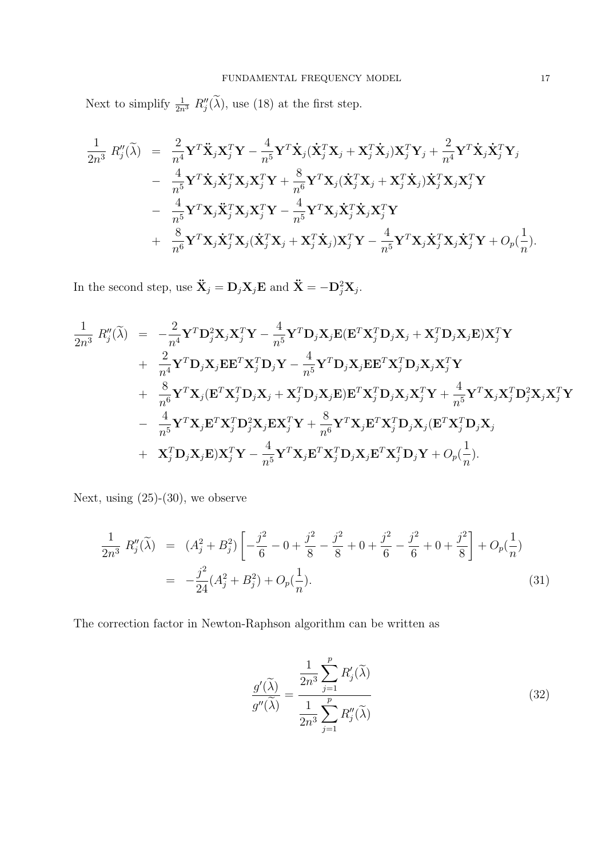Next to simplify  $\frac{1}{2n^3} R''_j(\tilde{\lambda})$ , use (18) at the first step.

$$
\begin{aligned}\n\frac{1}{2n^3} \, R''_j(\widetilde{\lambda}) &= \frac{2}{n^4} \mathbf{Y}^T \ddot{\mathbf{X}}_j \mathbf{X}_j^T \mathbf{Y} - \frac{4}{n^5} \mathbf{Y}^T \dot{\mathbf{X}}_j (\dot{\mathbf{X}}_j^T \mathbf{X}_j + \mathbf{X}_j^T \dot{\mathbf{X}}_j) \mathbf{X}_j^T \mathbf{Y}_j + \frac{2}{n^4} \mathbf{Y}^T \dot{\mathbf{X}}_j \dot{\mathbf{X}}_j^T \mathbf{Y}_j \\
&= \frac{4}{n^5} \mathbf{Y}^T \dot{\mathbf{X}}_j \dot{\mathbf{X}}_j^T \mathbf{X}_j \mathbf{X}_j^T \mathbf{Y} + \frac{8}{n^6} \mathbf{Y}^T \mathbf{X}_j (\dot{\mathbf{X}}_j^T \mathbf{X}_j + \mathbf{X}_j^T \dot{\mathbf{X}}_j) \dot{\mathbf{X}}_j^T \mathbf{X}_j \mathbf{X}_j^T \mathbf{Y} \\
&= \frac{4}{n^5} \mathbf{Y}^T \mathbf{X}_j \ddot{\mathbf{X}}_j^T \mathbf{X}_j \mathbf{X}_j^T \mathbf{Y} - \frac{4}{n^5} \mathbf{Y}^T \mathbf{X}_j \dot{\mathbf{X}}_j^T \dot{\mathbf{X}}_j \mathbf{X}_j^T \mathbf{Y} \\
&+ \frac{8}{n^6} \mathbf{Y}^T \mathbf{X}_j \dot{\mathbf{X}}_j^T \mathbf{X}_j (\dot{\mathbf{X}}_j^T \mathbf{X}_j + \mathbf{X}_j^T \dot{\mathbf{X}}_j) \mathbf{X}_j^T \mathbf{Y} - \frac{4}{n^5} \mathbf{Y}^T \mathbf{X}_j \dot{\mathbf{X}}_j^T \mathbf{X}_j \dot{\mathbf{X}}_j^T \mathbf{Y} + O_p(\frac{1}{n}).\n\end{aligned}
$$

In the second step, use  $\ddot{\mathbf{X}}_j = \mathbf{D}_j \mathbf{X}_j \mathbf{E}$  and  $\ddot{\mathbf{X}} = -\mathbf{D}_j^2 \mathbf{X}_j$ .

$$
\frac{1}{2n^3} R''_j(\tilde{\lambda}) = -\frac{2}{n^4} \mathbf{Y}^T \mathbf{D}_j^2 \mathbf{X}_j \mathbf{X}_j^T \mathbf{Y} - \frac{4}{n^5} \mathbf{Y}^T \mathbf{D}_j \mathbf{X}_j \mathbf{E} (\mathbf{E}^T \mathbf{X}_j^T \mathbf{D}_j \mathbf{X}_j + \mathbf{X}_j^T \mathbf{D}_j \mathbf{X}_j \mathbf{E}) \mathbf{X}_j^T \mathbf{Y} \n+ \frac{2}{n^4} \mathbf{Y}^T \mathbf{D}_j \mathbf{X}_j \mathbf{E} \mathbf{E}^T \mathbf{X}_j^T \mathbf{D}_j \mathbf{Y} - \frac{4}{n^5} \mathbf{Y}^T \mathbf{D}_j \mathbf{X}_j \mathbf{E} \mathbf{E}^T \mathbf{X}_j^T \mathbf{D}_j \mathbf{X}_j \mathbf{X}_j^T \mathbf{Y} \n+ \frac{8}{n^6} \mathbf{Y}^T \mathbf{X}_j (\mathbf{E}^T \mathbf{X}_j^T \mathbf{D}_j \mathbf{X}_j + \mathbf{X}_j^T \mathbf{D}_j \mathbf{X}_j \mathbf{E}) \mathbf{E}^T \mathbf{X}_j^T \mathbf{D}_j \mathbf{X}_j \mathbf{X}_j^T \mathbf{Y} + \frac{4}{n^5} \mathbf{Y}^T \mathbf{X}_j \mathbf{X}_j^T \mathbf{D}_j^2 \mathbf{X}_j \mathbf{X}_j^T \mathbf{Y} \n- \frac{4}{n^5} \mathbf{Y}^T \mathbf{X}_j \mathbf{E}^T \mathbf{X}_j^T \mathbf{D}_j^2 \mathbf{X}_j \mathbf{E} \mathbf{X}_j^T \mathbf{Y} + \frac{8}{n^6} \mathbf{Y}^T \mathbf{X}_j \mathbf{E}^T \mathbf{X}_j^T \mathbf{D}_j \mathbf{X}_j (\mathbf{E}^T \mathbf{X}_j^T \mathbf{D}_j \mathbf{X}_j \n+ \mathbf{X}_j^T \mathbf{D}_j \mathbf{X}_j \mathbf{E}) \mathbf{X}_j^T \mathbf{Y}
$$

Next, using (25)-(30), we observe

$$
\frac{1}{2n^3} R''_j(\tilde{\lambda}) = (A_j^2 + B_j^2) \left[ -\frac{j^2}{6} - 0 + \frac{j^2}{8} - \frac{j^2}{8} + 0 + \frac{j^2}{6} - \frac{j^2}{6} + 0 + \frac{j^2}{8} \right] + O_p(\frac{1}{n})
$$
  
= 
$$
-\frac{j^2}{24} (A_j^2 + B_j^2) + O_p(\frac{1}{n}).
$$
 (31)

The correction factor in Newton-Raphson algorithm can be written as

$$
\frac{g'(\tilde{\lambda})}{g''(\tilde{\lambda})} = \frac{\frac{1}{2n^3} \sum_{j=1}^p R'_j(\tilde{\lambda})}{\frac{1}{2n^3} \sum_{j=1}^p R''_j(\tilde{\lambda})}
$$
(32)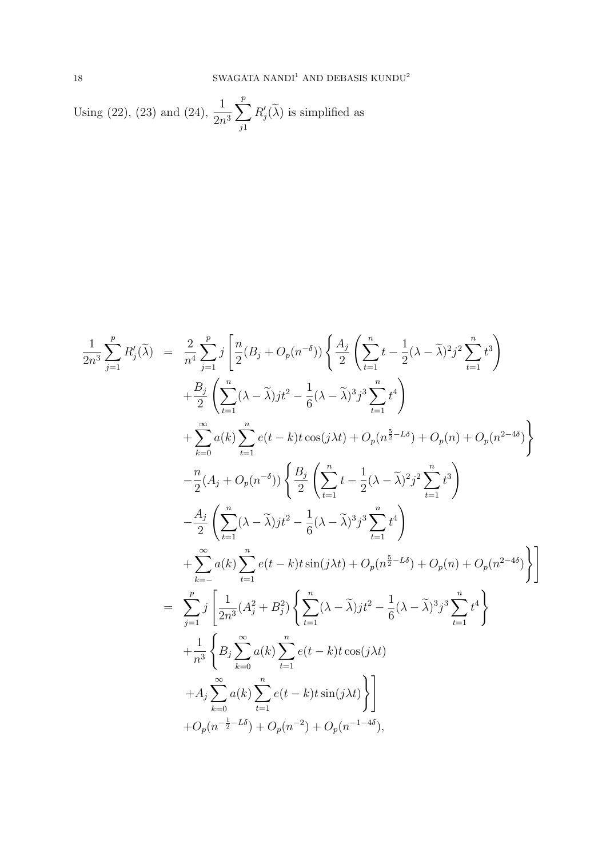Using (22), (23) and (24), 
$$
\frac{1}{2n^3} \sum_{j1}^{p} R'_j(\tilde{\lambda})
$$
 is simplified as

$$
\frac{1}{2n^3} \sum_{j=1}^{p} R'_j(\tilde{\lambda}) = \frac{2}{n^4} \sum_{j=1}^{p} j \left[ \frac{n}{2} (B_j + O_p(n^{-\delta})) \left\{ \frac{A_j}{2} \left( \sum_{t=1}^{n} t - \frac{1}{2} (\lambda - \tilde{\lambda})^2 j^2 \sum_{t=1}^{n} t^3 \right) \right.\left. + \frac{B_j}{2} \left( \sum_{t=1}^{n} (\lambda - \tilde{\lambda}) j t^2 - \frac{1}{6} (\lambda - \tilde{\lambda})^3 j^3 \sum_{t=1}^{n} t^4 \right) \right.\left. + \sum_{k=0}^{\infty} a(k) \sum_{t=1}^{n} e(t - k) t \cos(j\lambda t) + O_p(n^{\frac{5}{2} - L\delta}) + O_p(n) + O_p(n^{2 - 4\delta}) \right\}\left. - \frac{n}{2} (A_j + O_p(n^{-\delta})) \left\{ \frac{B_j}{2} \left( \sum_{t=1}^{n} t - \frac{1}{2} (\lambda - \tilde{\lambda})^2 j^2 \sum_{t=1}^{n} t^3 \right) \right.\left. - \frac{A_j}{2} \left( \sum_{t=1}^{n} (\lambda - \tilde{\lambda}) j t^2 - \frac{1}{6} (\lambda - \tilde{\lambda})^3 j^3 \sum_{t=1}^{n} t^4 \right) \right.\left. + \sum_{k=-}^{\infty} a(k) \sum_{t=1}^{n} e(t - k) t \sin(j\lambda t) + O_p(n^{\frac{5}{2} - L\delta}) + O_p(n) + O_p(n^{2 - 4\delta}) \right\}\left. = \sum_{j=1}^{p} j \left[ \frac{1}{2n^3} (A_j^2 + B_j^2) \left\{ \sum_{t=1}^{n} (\lambda - \tilde{\lambda}) j t^2 - \frac{1}{6} (\lambda - \tilde{\lambda})^3 j^3 \sum_{t=1}^{n} t^4 \right\} \right.\left. + \frac{1}{n^3} \left\{ B_j \sum_{k=0}^{\infty} a(k) \sum_{t=1}^{n} e(t - k) t \cos(j\lambda t) \right\} \right.\left. + A_j \sum_{k=0}^{\infty} a(k) \sum_{t=1}^{n} e(t - k) t \
$$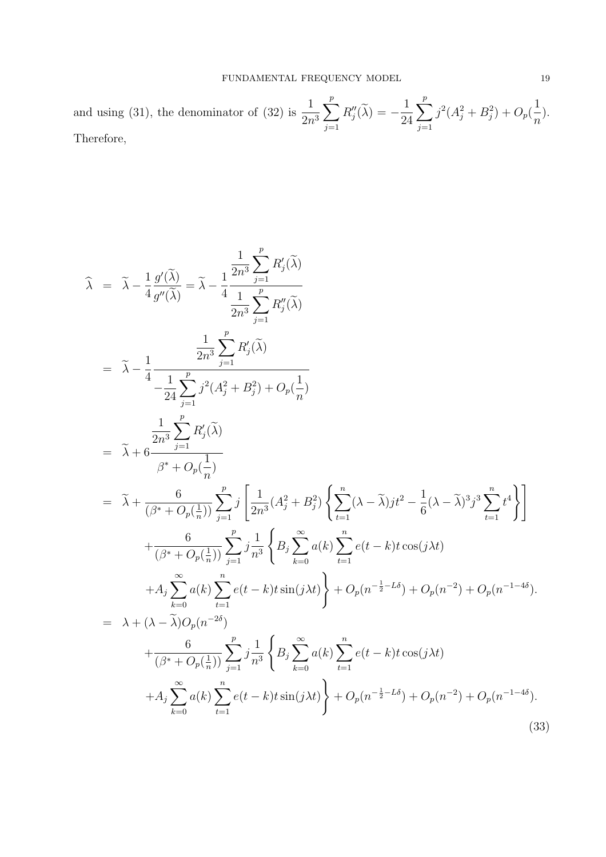and using (31), the denominator of (32) is  $\frac{1}{2}$  $2n^3$  $\sum_{ }^{p}$  $j=1$  $R''_i$  $''_j(\lambda) = -$ 1 24  $\sum_{ }^{p}$  $j=1$  $j^2(A_j^2+B_j^2)+O_p($ 1  $\overline{n}$ ). Therefore,

$$
\hat{\lambda} = \tilde{\lambda} - \frac{1}{4} \frac{g'(\tilde{\lambda})}{g''(\tilde{\lambda})} = \tilde{\lambda} - \frac{1}{4} \frac{\frac{1}{2n^3} \sum_{j=1}^p R''_j(\tilde{\lambda})}{\frac{1}{2n^3} \sum_{j=1}^p R''_j(\tilde{\lambda})}
$$
\n
$$
= \tilde{\lambda} - \frac{1}{4} \frac{\frac{1}{2n^3} \sum_{j=1}^p R'_j(\tilde{\lambda})}{-\frac{1}{24} \sum_{j=1}^p j^2 (A_j^2 + B_j^2) + O_p(\frac{1}{n})}
$$
\n
$$
= \tilde{\lambda} + 6 \frac{\frac{1}{2n^3} \sum_{j=1}^p R'_j(\tilde{\lambda})}{\beta^* + O_p(\frac{1}{n})}
$$
\n
$$
= \tilde{\lambda} + \frac{6}{(\beta^* + O_p(\frac{1}{n}))} \sum_{j=1}^p j \left[ \frac{1}{2n^3} (A_j^2 + B_j^2) \left\{ \sum_{t=1}^n (\lambda - \tilde{\lambda}) j t^2 - \frac{1}{6} (\lambda - \tilde{\lambda})^3 j^3 \sum_{t=1}^n t^4 \right\} \right]
$$
\n
$$
+ \frac{6}{(\beta^* + O_p(\frac{1}{n}))} \sum_{j=1}^p j \frac{1}{n^3} \left\{ B_j \sum_{k=0}^\infty a(k) \sum_{t=1}^n e(t - k)t \cos(j\lambda t) + A_j \sum_{k=0}^\infty a(k) \sum_{t=1}^n e(t - k)t \sin(j\lambda t) \right\} + O_p(n^{-\frac{1}{2} - L\delta}) + O_p(n^{-2}) + O_p(n^{-1 - 4\delta}).
$$
\n
$$
= \lambda + (\lambda - \tilde{\lambda}) O_p(n^{-2\delta}) + \frac{6}{(\beta^* + O_p(\frac{1}{n}))} \sum_{j=1}^p j \frac{1}{n^3} \left\{ B_j \sum_{k=0}^\infty a(k) \sum_{t=1}^n e(t - k)t \cos(j\lambda t) + A_j \sum_{k=0}^\infty a(k) \sum_{t=1}^n e(t - k)t \sin(j\lambda t) \right\} + O_p(n^{-\frac{1}{2} - L\delta}) + O_p(n^{-2})
$$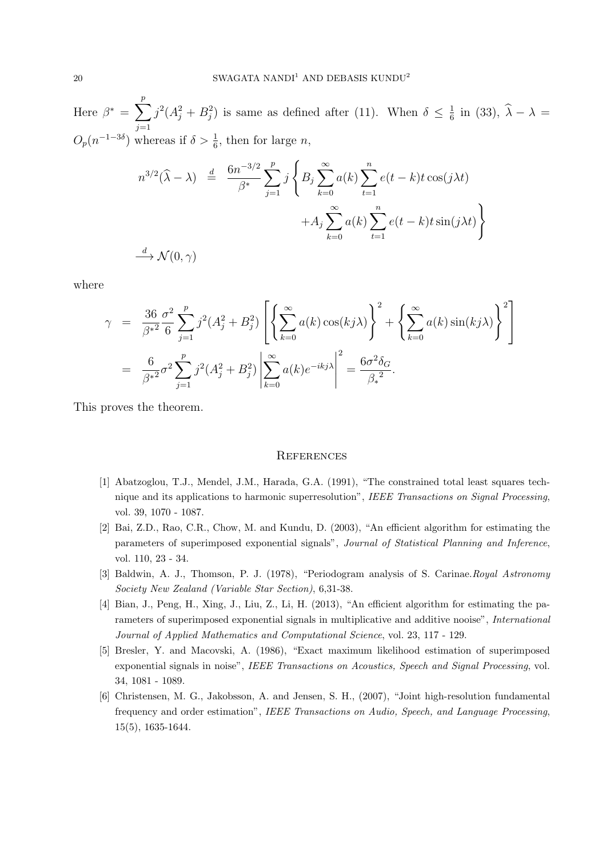Here  $\beta^* = \sum_{n=1}^{p}$  $j=1$  $j^2(A_j^2 + B_j^2)$  is same as defined after (11). When  $\delta \leq \frac{1}{6}$  $\frac{1}{6}$  in (33),  $\lambda - \lambda =$  $O_p(n^{-1-3\delta})$  whereas if  $\delta > \frac{1}{6}$ , then for large *n*,

$$
n^{3/2}(\widehat{\lambda} - \lambda) \stackrel{d}{=} \frac{6n^{-3/2}}{\beta^*} \sum_{j=1}^p j \left\{ B_j \sum_{k=0}^\infty a(k) \sum_{t=1}^n e(t-k)t \cos(j\lambda t) + A_j \sum_{k=0}^\infty a(k) \sum_{t=1}^n e(t-k)t \sin(j\lambda t) \right\}
$$
  

$$
\stackrel{d}{\longrightarrow} \mathcal{N}(0, \gamma)
$$

where

$$
\gamma = \frac{36}{\beta^{*2}} \frac{\sigma^2}{6} \sum_{j=1}^p j^2 (A_j^2 + B_j^2) \left[ \left\{ \sum_{k=0}^\infty a(k) \cos(kj\lambda) \right\}^2 + \left\{ \sum_{k=0}^\infty a(k) \sin(kj\lambda) \right\}^2 \right]
$$
  
= 
$$
\frac{6}{\beta^{*2}} \sigma^2 \sum_{j=1}^p j^2 (A_j^2 + B_j^2) \left| \sum_{k=0}^\infty a(k) e^{-ikj\lambda} \right|^2 = \frac{6\sigma^2 \delta_G}{\beta^{*2}}.
$$

This proves the theorem.

#### **REFERENCES**

- [1] Abatzoglou, T.J., Mendel, J.M., Harada, G.A. (1991), "The constrained total least squares technique and its applications to harmonic superresolution", IEEE Transactions on Signal Processing, vol. 39, 1070 - 1087.
- [2] Bai, Z.D., Rao, C.R., Chow, M. and Kundu, D. (2003), "An efficient algorithm for estimating the parameters of superimposed exponential signals", Journal of Statistical Planning and Inference, vol. 110, 23 - 34.
- [3] Baldwin, A. J., Thomson, P. J. (1978), "Periodogram analysis of S. Carinae.Royal Astronomy Society New Zealand (Variable Star Section), 6,31-38.
- [4] Bian, J., Peng, H., Xing, J., Liu, Z., Li, H. (2013), "An efficient algorithm for estimating the parameters of superimposed exponential signals in multiplicative and additive nooise", International Journal of Applied Mathematics and Computational Science, vol. 23, 117 - 129.
- [5] Bresler, Y. and Macovski, A. (1986), "Exact maximum likelihood estimation of superimposed exponential signals in noise", IEEE Transactions on Acoustics, Speech and Signal Processing, vol. 34, 1081 - 1089.
- [6] Christensen, M. G., Jakobsson, A. and Jensen, S. H., (2007), "Joint high-resolution fundamental frequency and order estimation", IEEE Transactions on Audio, Speech, and Language Processing, 15(5), 1635-1644.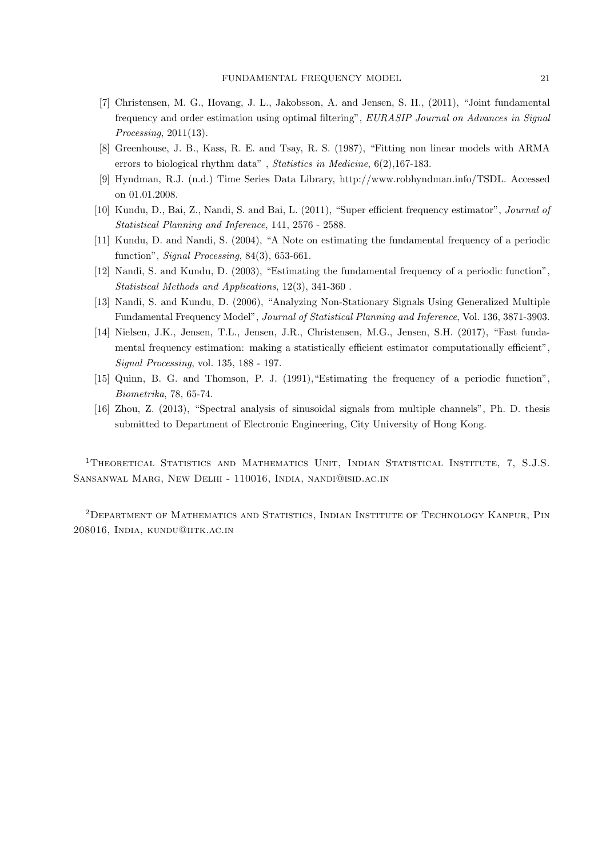- [7] Christensen, M. G., Hovang, J. L., Jakobsson, A. and Jensen, S. H., (2011), "Joint fundamental frequency and order estimation using optimal filtering", EURASIP Journal on Advances in Signal Processing, 2011(13).
- [8] Greenhouse, J. B., Kass, R. E. and Tsay, R. S. (1987), "Fitting non linear models with ARMA errors to biological rhythm data", Statistics in Medicine, 6(2), 167-183.
- [9] Hyndman, R.J. (n.d.) Time Series Data Library, http://www.robhyndman.info/TSDL. Accessed on 01.01.2008.
- [10] Kundu, D., Bai, Z., Nandi, S. and Bai, L. (2011), "Super efficient frequency estimator", Journal of Statistical Planning and Inference, 141, 2576 - 2588.
- [11] Kundu, D. and Nandi, S. (2004), "A Note on estimating the fundamental frequency of a periodic function", Signal Processing, 84(3), 653-661.
- [12] Nandi, S. and Kundu, D. (2003), "Estimating the fundamental frequency of a periodic function", Statistical Methods and Applications, 12(3), 341-360 .
- [13] Nandi, S. and Kundu, D. (2006), "Analyzing Non-Stationary Signals Using Generalized Multiple Fundamental Frequency Model", Journal of Statistical Planning and Inference, Vol. 136, 3871-3903.
- [14] Nielsen, J.K., Jensen, T.L., Jensen, J.R., Christensen, M.G., Jensen, S.H. (2017), "Fast fundamental frequency estimation: making a statistically efficient estimator computationally efficient", Signal Processing, vol. 135, 188 - 197.
- [15] Quinn, B. G. and Thomson, P. J. (1991),"Estimating the frequency of a periodic function", Biometrika, 78, 65-74.
- [16] Zhou, Z. (2013), "Spectral analysis of sinusoidal signals from multiple channels", Ph. D. thesis submitted to Department of Electronic Engineering, City University of Hong Kong.

<sup>1</sup>THEORETICAL STATISTICS AND MATHEMATICS UNIT, INDIAN STATISTICAL INSTITUTE, 7, S.J.S. Sansanwal Marg, New Delhi - 110016, India, nandi@isid.ac.in

<sup>2</sup>Department of Mathematics and Statistics, Indian Institute of Technology Kanpur, Pin 208016, India, kundu@iitk.ac.in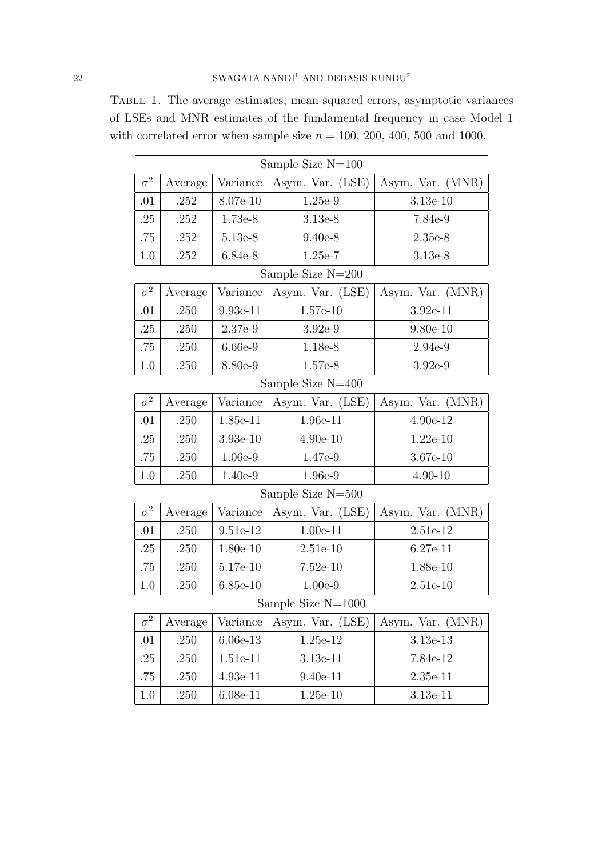Table 1. The average estimates, mean squared errors, asymptotic variances of LSEs and MNR estimates of the fundamental frequency in case Model 1 with correlated error when sample size  $n = 100, 200, 400, 500$  and 1000.

| Sample Size $N=100$ |         |            |                   |                  |  |
|---------------------|---------|------------|-------------------|------------------|--|
| $\sigma^2$          | Average | Variance   | Asym. Var. (LSE)  | Asym. Var. (MNR) |  |
| .01                 | .252    | 8.07e-10   | 1.25e-9           | $3.13e-10$       |  |
| .25                 | .252    | 1.73e-8    | $3.13e-8$         | 7.84e-9          |  |
| .75                 | .252    | 5.13e-8    | $9.40e-8$         | $2.35e-8$        |  |
| 1.0                 | .252    | 6.84e-8    | $1.25e-7$         | 3.13e-8          |  |
|                     |         |            | Sample Size N=200 |                  |  |
| $\sigma^2$          | Average | Variance   | Asym. Var. (LSE)  | Asym. Var. (MNR) |  |
| .01                 | .250    | $9.93e-11$ | $1.57e-10$        | $3.92e-11$       |  |
| .25                 | .250    | 2.37e-9    | $3.92e-9$         | $9.80e-10$       |  |
| .75                 | .250    | 6.66e-9    | 1.18e-8           | $2.94e-9$        |  |
| 1.0                 | .250    | 8.80e-9    | 1.57e-8           | $3.92e-9$        |  |
| Sample Size $N=400$ |         |            |                   |                  |  |
| $\sigma^2$          | Average | Variance   | Asym. Var. (LSE)  | Asym. Var. (MNR) |  |
| .01                 | .250    | 1.85e-11   | 1.96e-11          | 4.90e-12         |  |
| .25                 | .250    | $3.93e-10$ | $4.90e-10$        | $1.22e-10$       |  |
| .75                 | .250    | $1.06e-9$  | 1.47e-9           | 3.67e-10         |  |
| 1.0                 | .250    | 1.40e-9    | 1.96e-9           | $4.90 - 10$      |  |
| Sample Size N=500   |         |            |                   |                  |  |
| $\sigma^2$          | Average | Variance   | Asym. Var. (LSE)  | Asym. Var. (MNR) |  |
| .01                 | .250    | 9.51e-12   | $1.00e-11$        | 2.51e-12         |  |
| .25                 | .250    | 1.80e-10   | $2.51e-10$        | $6.27e-11$       |  |
| .75                 | .250    | 5.17e-10   | $7.52e-10$        | 1.88e-10         |  |
| 1.0                 | .250    | $6.85e-10$ | $1.00e-9$         | $2.51e-10$       |  |
| Sample Size N=1000  |         |            |                   |                  |  |
| $\sigma^2$          | Average | Variance   | Asym. Var. (LSE)  | Asym. Var. (MNR) |  |
| .01                 | .250    | $6.06e-13$ | 1.25e-12          | 3.13e-13         |  |
| .25                 | .250    | 1.51e-11   | 3.13e-11          | 7.84e-12         |  |
| .75                 | .250    | 4.93e-11   | $9.40e-11$        | $2.35e-11$       |  |
| 1.0                 | .250    | $6.08e-11$ | $1.25e-10$        | 3.13e-11         |  |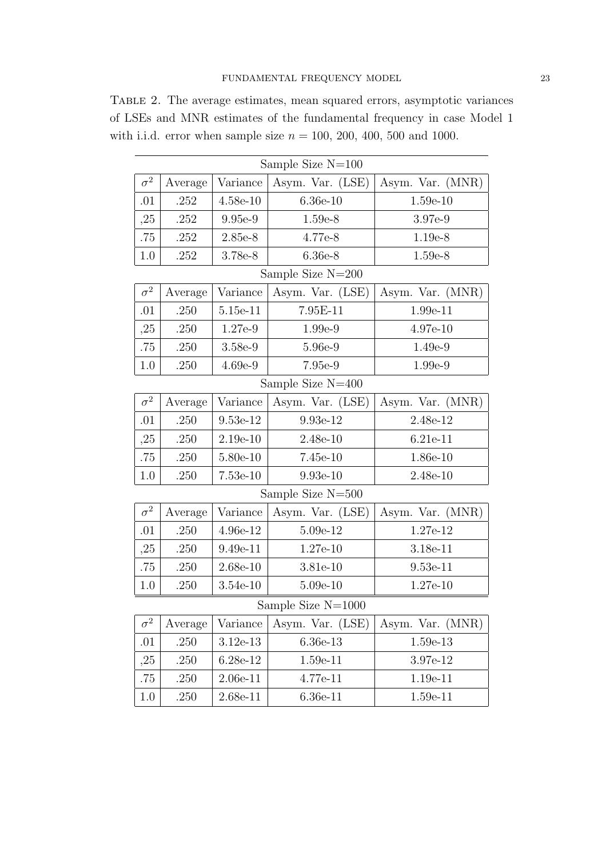Table 2. The average estimates, mean squared errors, asymptotic variances of LSEs and MNR estimates of the fundamental frequency in case Model 1 with i.i.d. error when sample size  $n = 100, 200, 400, 500$  and 1000.

| Sample Size $N=100$  |         |            |                   |                  |  |
|----------------------|---------|------------|-------------------|------------------|--|
| $\sigma^2$           | Average | Variance   | Asym. Var. (LSE)  | Asym. Var. (MNR) |  |
| .01                  | .252    | $4.58e-10$ | $6.36e-10$        | $1.59e-10$       |  |
| ,25                  | .252    | 9.95e-9    | $1.59e-8$         | 3.97e-9          |  |
| .75                  | .252    | 2.85e-8    | 4.77e-8           | 1.19e-8          |  |
| 1.0                  | .252    | 3.78e-8    | $6.36e-8$         | 1.59e-8          |  |
|                      |         |            | Sample Size N=200 |                  |  |
| $\sigma^2$           | Average | Variance   | Asym. Var. (LSE)  | Asym. Var. (MNR) |  |
| .01                  | .250    | 5.15e-11   | 7.95E-11          | 1.99e-11         |  |
| ,25                  | .250    | 1.27e-9    | 1.99e-9           | 4.97e-10         |  |
| .75                  | .250    | 3.58e-9    | 5.96e-9           | $1.49e-9$        |  |
| 1.0                  | .250    | $4.69e-9$  | 7.95e-9           | 1.99e-9          |  |
| Sample Size N=400    |         |            |                   |                  |  |
| $\sigma^2$           | Average | Variance   | Asym. Var. (LSE)  | Asym. Var. (MNR) |  |
| .01                  | .250    | 9.53e-12   | 9.93e-12          | 2.48e-12         |  |
| ,25                  | .250    | $2.19e-10$ | $2.48e-10$        | 6.21e-11         |  |
| .75                  | .250    | 5.80e-10   | $7.45e-10$        | $1.86e-10$       |  |
| 1.0                  | .250    | $7.53e-10$ | $9.93e-10$        | $2.48e-10$       |  |
| Sample Size $N=500$  |         |            |                   |                  |  |
| $\sigma^2$           | Average | Variance   | Asym. Var. (LSE)  | Asym. Var. (MNR) |  |
| .01                  | .250    | 4.96e-12   | $5.09e-12$        | 1.27e-12         |  |
| ,25                  | .250    | $9.49e-11$ | $1.27e-10$        | 3.18e-11         |  |
| .75                  | .250    | $2.68e-10$ | 3.81e-10          | $9.53e-11$       |  |
| 1.0                  | .250    | $3.54e-10$ | $5.09e-10$        | $1.27e-10$       |  |
| Sample Size $N=1000$ |         |            |                   |                  |  |
| $\sigma^2$           | Average | Variance   | Asym. Var. (LSE)  | Asym. Var. (MNR) |  |
| .01                  | .250    | $3.12e-13$ | 6.36e-13          | 1.59e-13         |  |
| ,25                  | .250    | 6.28e-12   | 1.59e-11          | 3.97e-12         |  |
| .75                  | .250    | $2.06e-11$ | 4.77e-11          | 1.19e-11         |  |
| 1.0                  | .250    | 2.68e-11   | $6.36e-11$        | 1.59e-11         |  |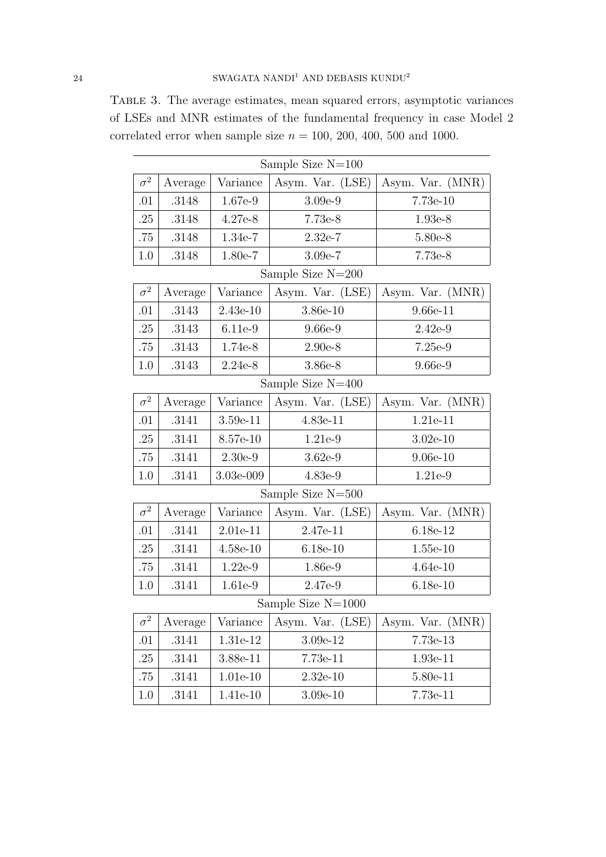Table 3. The average estimates, mean squared errors, asymptotic variances of LSEs and MNR estimates of the fundamental frequency in case Model 2 correlated error when sample size  $n = 100, 200, 400, 500$  and 1000.

| Sample Size $N=100$ |         |            |                     |                  |
|---------------------|---------|------------|---------------------|------------------|
| $\sigma^2$          | Average | Variance   | Asym. Var. (LSE)    | Asym. Var. (MNR) |
| .01                 | .3148   | 1.67e-9    | $3.09e-9$           | 7.73e-10         |
| .25                 | .3148   | 4.27e-8    | 7.73e-8             | 1.93e-8          |
| .75                 | .3148   | 1.34e-7    | $2.32e-7$           | 5.80e-8          |
| 1.0                 | .3148   | 1.80e-7    | $3.09e-7$           | 7.73e-8          |
|                     |         |            | Sample Size $N=200$ |                  |
| $\sigma^2$          | Average | Variance   | Asym. Var. (LSE)    | Asym. Var. (MNR) |
| .01                 | .3143   | $2.43e-10$ | 3.86e-10            | $9.66e-11$       |
| .25                 | .3143   | 6.11e-9    | 9.66e-9             | $2.42e-9$        |
| .75                 | .3143   | 1.74e-8    | $2.90e-8$           | 7.25e-9          |
| 1.0                 | .3143   | $2.24e-8$  | 3.86e-8             | 9.66e-9          |
| Sample Size N=400   |         |            |                     |                  |
| $\sigma^2$          | Average | Variance   | Asym. Var. (LSE)    | Asym. Var. (MNR) |
| .01                 | .3141   | $3.59e-11$ | 4.83e-11            | 1.21e-11         |
| .25                 | .3141   | 8.57e-10   | 1.21e-9             | $3.02e-10$       |
| .75                 | .3141   | $2.30e-9$  | $3.62e-9$           | $9.06e-10$       |
| 1.0                 | .3141   | 3.03e-009  | $4.83e-9$           | 1.21e-9          |
|                     |         |            | Sample Size $N=500$ |                  |
| $\sigma^2$          | Average | Variance   | Asym. Var. (LSE)    | Asym. Var. (MNR) |
| .01                 | .3141   | $2.01e-11$ | 2.47e-11            | 6.18e-12         |
| .25                 | .3141   | $4.58e-10$ | $6.18e-10$          | $1.55e-10$       |
| .75                 | .3141   | $1.22e-9$  | 1.86e-9             | $4.64e-10$       |
| 1.0                 | .3141   | 1.61e-9    | 2.47e-9             | $6.18e-10$       |
| Sample Size N=1000  |         |            |                     |                  |
| $\sigma^2$          | Average | Variance   | Asym. Var. (LSE)    | Asym. Var. (MNR) |
| .01                 | .3141   | 1.31e-12   | 3.09e-12            | 7.73e-13         |
| .25                 | .3141   | 3.88e-11   | 7.73e-11            | 1.93e-11         |
| .75                 | .3141   | 1.01e-10   | $2.32e-10$          | 5.80e-11         |
| 1.0                 | .3141   | 1.41e-10   | $3.09e-10$          | 7.73e-11         |